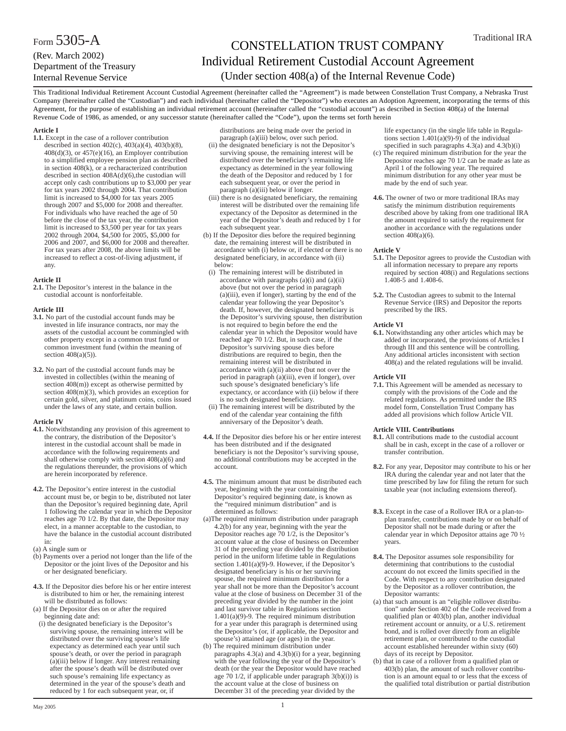# CONSTELLATION TRUST COMPANY Individual Retirement Custodial Account Agreement (Under section 408(a) of the Internal Revenue Code)

This Traditional Individual Retirement Account Custodial Agreement (hereinafter called the "Agreement") is made between Constellation Trust Company, a Nebraska Trust Company (hereinafter called the "Custodian") and each individual (hereinafter called the "Depositor") who executes an Adoption Agreement, incorporating the terms of this Agreement, for the purpose of establishing an individual retirement account (hereinafter called the "custodial account") as described in Section 408(a) of the Internal Revenue Code of 1986, as amended, or any successor statute (hereinafter called the "Code"), upon the terms set forth herein

## **Article I**

**1.1.** Except in the case of a rollover contribution described in section 402(c), 403(a)(4), 403(b)(8), 408(d)(3), or 457(e)(16), an Employer contribution to a simplified employee pension plan as described in section 408(k), or a recharacterized contribution described in section  $408A(d)(6)$ , the custodian will accept only cash contributions up to \$3,000 per year for tax years 2002 through 2004. That contribution limit is increased to \$4,000 for tax years 2005 through 2007 and \$5,000 for 2008 and thereafter. For individuals who have reached the age of 50 before the close of the tax year, the contribution limit is increased to \$3,500 per year for tax years 2002 through 2004, \$4,500 for 2005, \$5,000 for 2006 and 2007, and \$6,000 for 2008 and thereafter. For tax years after 2008, the above limits will be increased to reflect a cost-of-living adjustment, if any.

## **Article II**

**2.1.** The Depositor's interest in the balance in the custodial account is nonforfeitable.

## **Article III**

- **3.1.** No part of the custodial account funds may be invested in life insurance contracts, nor may the assets of the custodial account be commingled with other property except in a common trust fund or common investment fund (within the meaning of section  $408(a)(5)$ ).
- **3.2.** No part of the custodial account funds may be invested in collectibles (within the meaning of section 408(m)) except as otherwise permitted by section 408(m)(3), which provides an exception for certain gold, silver, and platinum coins, coins issued under the laws of any state, and certain bullion.

## **Article IV**

- **4.1.** Notwithstanding any provision of this agreement to the contrary, the distribution of the Depositor's interest in the custodial account shall be made in accordance with the following requirements and shall otherwise comply with section 408(a)(6) and the regulations thereunder, the provisions of which are herein incorporated by reference.
- **4.2.** The Depositor's entire interest in the custodial account must be, or begin to be, distributed not later than the Depositor's required beginning date, April 1 following the calendar year in which the Depositor reaches age 70 1/2. By that date, the Depositor may elect, in a manner acceptable to the custodian, to have the balance in the custodial account distributed in:
- (a) A single sum or
- (b) Payments over a period not longer than the life of the Depositor or the joint lives of the Depositor and his or her designated beneficiary.
- **4.3.** If the Depositor dies before his or her entire interest is distributed to him or her, the remaining interest will be distributed as follows:
- (a) If the Depositor dies on or after the required beginning date and:
- (i) the designated beneficiary is the Depositor's surviving spouse, the remaining interest will be distributed over the surviving spouse's life expectancy as determined each year until such spouse's death, or over the period in paragraph (a)(iii) below if longer. Any interest remaining after the spouse's death will be distributed over such spouse's remaining life expectancy as determined in the year of the spouse's death and reduced by 1 for each subsequent year, or, if

distributions are being made over the period in paragraph (a)(iii) below, over such period.

- (ii) the designated beneficiary is not the Depositor's surviving spouse, the remaining interest will be distributed over the beneficiary's remaining life expectancy as determined in the year following the death of the Depositor and reduced by 1 for each subsequent year, or over the period in paragraph (a)(iii) below if longer.
- (iii) there is no designated beneficiary, the remaining interest will be distributed over the remaining life expectancy of the Depositor as determined in the year of the Depositor's death and reduced by 1 for each subsequent year.
- (b) If the Depositor dies before the required beginning date, the remaining interest will be distributed in accordance with (i) below or, if elected or there is no designated beneficiary, in accordance with (ii) below:
- (i) The remaining interest will be distributed in accordance with paragraphs (a)(i) and (a)(ii) above (but not over the period in paragraph  $(a)$ (iii), even if longer), starting by the end of the calendar year following the year Depositor's death. If, however, the designated beneficiary is the Depositor's surviving spouse, then distribution is not required to begin before the end the calendar year in which the Depositor would have reached age 70 1/2. But, in such case, if the Depositor's surviving spouse dies before distributions are required to begin, then the remaining interest will be distributed in accordance with (a)(ii) above (but not over the period in paragraph (a)(iii), even if longer), over such spouse's designated beneficiary's life expectancy, or accordance with (ii) below if there is no such designated beneficiary.
- (ii) The remaining interest will be distributed by the end of the calendar year containing the fifth anniversary of the Depositor's death.
- **4.4.** If the Depositor dies before his or her entire interest has been distributed and if the designated beneficiary is not the Depositor's surviving spouse, no additional contributions may be accepted in the account.
- **4.5.** The minimum amount that must be distributed each year, beginning with the year containing the Depositor's required beginning date, is known as the "required minimum distribution" and is determined as follows:
- (a)The required minimum distribution under paragraph  $4.2(b)$  for any year, beginning with the year the Depositor reaches age 70 1/2, is the Depositor's account value at the close of business on December 31 of the preceding year divided by the distribution period in the uniform lifetime table in Regulations section  $1.401(a)(9)$ -9. However, if the Depositor's designated beneficiary is his or her surviving spouse, the required minimum distribution for a year shall not be more than the Depositor's account value at the close of business on December 31 of the preceding year divided by the number in the joint and last survivor table in Regulations section 1.401(a)(9)-9. The required minimum distribution for a year under this paragraph is determined using the Depositor's (or, if applicable, the Depositor and spouse's) attained age (or ages) in the year.
- (b) The required minimum distribution under paragraphs  $4.3(a)$  and  $4.3(b)(i)$  for a year, beginning with the year following the year of the Depositor's death (or the year the Depositor would have reached age 70 1/2, if applicable under paragraph 3(b)(i)) is the account value at the close of business on December 31 of the preceding year divided by the

life expectancy (in the single life table in Regulations section  $1.401(a)(9)-9$  of the individual specified in such paragraphs 4.3(a) and 4.3(b)(i)

- (c) The required minimum distribution for the year the Depositor reaches age 70 1/2 can be made as late as April 1 of the following year. The required minimum distribution for any other year must be made by the end of such year.
- **4.6.** The owner of two or more traditional IRAs may satisfy the minimum distribution requirements described above by taking from one traditional IRA the amount required to satisfy the requirement for another in accordance with the regulations under section  $408(a)(6)$ .

## **Article V**

- **5.1.** The Depositor agrees to provide the Custodian with all information necessary to prepare any reports required by section 408(i) and Regulations sections 1.408-5 and 1.408-6.
- **5.2.** The Custodian agrees to submit to the Internal Revenue Service (IRS) and Depositor the reports prescribed by the IRS.

## **Article VI**

**6.1.** Notwithstanding any other articles which may be added or incorporated, the provisions of Articles I through III and this sentence will be controlling. Any additional articles inconsistent with section 408(a) and the related regulations will be invalid.

#### **Article VII**

**7.1.** This Agreement will be amended as necessary to comply with the provisions of the Code and the related regulations. As permitted under the IRS model form, Constellation Trust Company has added all provisions which follow Article VII.

#### **Article VIII. Contributions**

- **8.1.** All contributions made to the custodial account shall be in cash, except in the case of a rollover or transfer contribution.
- **8.2.** For any year, Depositor may contribute to his or her IRA during the calendar year and not later that the time prescribed by law for filing the return for such taxable year (not including extensions thereof).
- **8.3.** Except in the case of a Rollover IRA or a plan-toplan transfer, contributions made by or on behalf of Depositor shall not be made during or after the calendar year in which Depositor attains age 70 ½ years.
- **8.4.** The Depositor assumes sole responsibility for determining that contributions to the custodial account do not exceed the limits specified in the Code. With respect to any contribution designated by the Depositor as a rollover contribution, the Depositor warrants:
- (a) that such amount is an "eligible rollover distribution" under Section 402 of the Code received from a qualified plan or 403(b) plan, another individual retirement account or annuity, or a U.S. retirement bond, and is rolled over directly from an eligible retirement plan, or contributed to the custodial account established hereunder within sixty (60) days of its receipt by Depositor.
- (b) that in case of a rollover from a qualified plan or 403(b) plan, the amount of such rollover contribution is an amount equal to or less that the excess of the qualified total distribution or partial distribution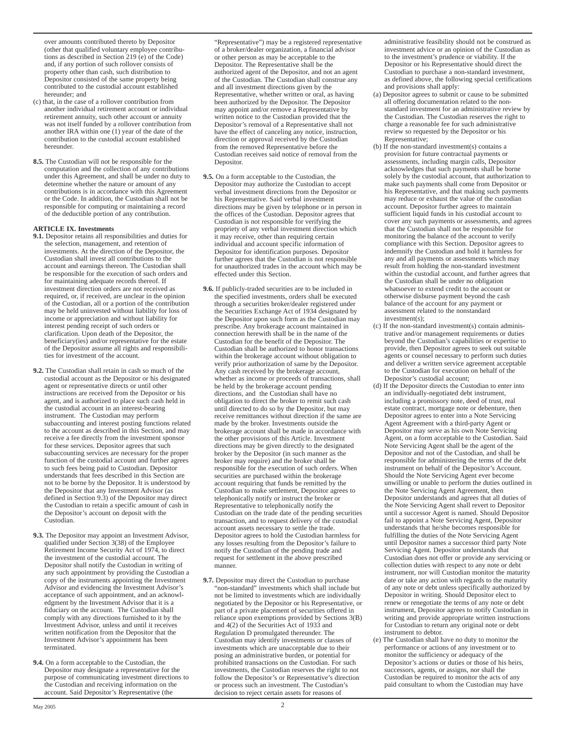over amounts contributed thereto by Depositor (other that qualified voluntary employee contributions as described in Section 219 (e) of the Code) and, if any portion of such rollover consists of property other than cash, such distribution to Depositor consisted of the same property being contributed to the custodial account established hereunder; and

- (c) that, in the case of a rollover contribution from another individual retirement account or individual retirement annuity, such other account or annuity was not itself funded by a rollover contribution from another IRA within one (1) year of the date of the contribution to the custodial account established hereunder.
- **8.5.** The Custodian will not be responsible for the computation and the collection of any contributions under this Agreement, and shall be under no duty to determine whether the nature or amount of any contributions is in accordance with this Agreement or the Code. In addition, the Custodian shall not be responsible for computing or maintaining a record of the deductible portion of any contribution.

# **ARTICLE IX. Investments**

- **9.1.** Depositor retains all responsibilities and duties for the selection, management, and retention of investments. At the direction of the Depositor, the Custodian shall invest all contributions to the account and earnings thereon. The Custodian shall be responsible for the execution of such orders and for maintaining adequate records thereof. If investment direction orders are not received as required, or, if received, are unclear in the opinion of the Custodian, all or a portion of the contribution may be held uninvested without liability for loss of income or appreciation and without liability for interest pending receipt of such orders or clarification. Upon death of the Depositor, the beneficiary(ies) and/or representative for the estate of the Depositor assume all rights and responsibilities for investment of the account.
- **9.2.** The Custodian shall retain in cash so much of the custodial account as the Depositor or his designated agent or representative directs or until other instructions are received from the Depositor or his agent, and is authorized to place such cash held in the custodial account in an interest-bearing instrument. The Custodian may perform subaccounting and interest posting functions related to the account as described in this Section, and may receive a fee directly from the investment sponsor for these services. Depositor agrees that such subaccounting services are necessary for the proper function of the custodial account and further agrees to such fees being paid to Custodian. Depositor understands that fees described in this Section are not to be borne by the Depositor. It is understood by the Depositor that any Investment Advisor (as defined in Section 9.3) of the Depositor may direct the Custodian to retain a specific amount of cash in the Depositor's account on deposit with the Custodian.
- **9.3.** The Depositor may appoint an Investment Advisor, qualified under Section 3(38) of the Employee Retirement Income Security Act of 1974, to direct the investment of the custodial account. The Depositor shall notify the Custodian in writing of any such appointment by providing the Custodian a copy of the instruments appointing the Investment Advisor and evidencing the Investment Advisor's acceptance of such appointment, and an acknowledgment by the Investment Advisor that it is a fiduciary on the account. The Custodian shall comply with any directions furnished to it by the Investment Advisor, unless and until it receives written notification from the Depositor that the Investment Advisor's appointment has been terminated.
- **9.4.** On a form acceptable to the Custodian, the Depositor may designate a representative for the purpose of communicating investment directions to the Custodian and receiving information on the account. Said Depositor's Representative (the

"Representative") may be a registered representative of a broker/dealer organization, a financial advisor or other person as may be acceptable to the Depositor. The Representative shall be the authorized agent of the Depositor, and not an agent of the Custodian. The Custodian shall construe any and all investment directions given by the Representative, whether written or oral, as having been authorized by the Depositor. The Depositor may appoint and/or remove a Representative by written notice to the Custodian provided that the Depositor's removal of a Representative shall not have the effect of canceling any notice, instruction, direction or approval received by the Custodian from the removed Representative before the Custodian receives said notice of removal from the Depositor.

- **9.5.** On a form acceptable to the Custodian, the Depositor may authorize the Custodian to accept verbal investment directions from the Depositor or his Representative. Said verbal investment directions may be given by telephone or in person in the offices of the Custodian. Depositor agrees that Custodian is not responsible for verifying the propriety of any verbal investment direction which it may receive, other than requiring certain individual and account specific information of Depositor for identification purposes. Depositor further agrees that the Custodian is not responsible for unauthorized trades in the account which may be effected under this Section.
- **9.6.** If publicly-traded securities are to be included in the specified investments, orders shall be executed through a securities broker/dealer registered under the Securities Exchange Act of 1934 designated by the Depositor upon such form as the Custodian may prescribe. Any brokerage account maintained in connection herewith shall be in the name of the Custodian for the benefit of the Depositor. The Custodian shall be authorized to honor transactions within the brokerage account without obligation to verify prior authorization of same by the Depositor. Any cash received by the brokerage account, whether as income or proceeds of transactions, shall be held by the brokerage account pending directions, and the Custodian shall have no obligation to direct the broker to remit such cash until directed to do so by the Depositor, but may receive remittances without direction if the same are made by the broker. Investments outside the brokerage account shall be made in accordance with the other provisions of this Article. Investment directions may be given directly to the designated broker by the Depositor (in such manner as the broker may require) and the broker shall be responsible for the execution of such orders. When securities are purchased within the brokerage account requiring that funds be remitted by the Custodian to make settlement, Depositor agrees to telephonically notify or instruct the broker or Representative to telephonically notify the Custodian on the trade date of the pending securities transaction, and to request delivery of the custodial account assets necessary to settle the trade. Depositor agrees to hold the Custodian harmless for any losses resulting from the Depositor's failure to notify the Custodian of the pending trade and request for settlement in the above prescribed manner.
- **9.7.** Depositor may direct the Custodian to purchase "non-standard" investments which shall include but not be limited to investments which are individually negotiated by the Depositor or his Representative, or part of a private placement of securities offered in reliance upon exemptions provided by Sections 3(B) and 4(2) of the Securities Act of 1933 and Regulation D promulgated thereunder. The Custodian may identify investments or classes of investments which are unacceptable due to their posing an administrative burden, or potential for prohibited transactions on the Custodian. For such investments, the Custodian reserves the right to not follow the Depositor's or Representative's direction or process such an investment. The Custodian's decision to reject certain assets for reasons of

administrative feasibility should not be construed as investment advice or an opinion of the Custodian as to the investment's prudence or viability. If the Depositor or his Representative should direct the Custodian to purchase a non-standard investment, as defined above, the following special certifications and provisions shall apply:

- (a) Depositor agrees to submit or cause to be submitted all offering documentation related to the nonstandard investment for an administrative review by the Custodian. The Custodian reserves the right to charge a reasonable fee for such administrative review so requested by the Depositor or his Representative;
- (b) If the non-standard investment(s) contains a provision for future contractual payments or assessments, including margin calls, Depositor acknowledges that such payments shall be borne solely by the custodial account, that authorization to make such payments shall come from Depositor or his Representative, and that making such payments may reduce or exhaust the value of the custodian account. Depositor further agrees to maintain sufficient liquid funds in his custodial account to cover any such payments or assessments, and agrees that the Custodian shall not be responsible for monitoring the balance of the account to verify compliance with this Section. Depositor agrees to indemnify the Custodian and hold it harmless for any and all payments or assessments which may result from holding the non-standard investment within the custodial account, and further agrees that the Custodian shall be under no obligation whatsoever to extend credit to the account or otherwise disburse payment beyond the cash balance of the account for any payment or assessment related to the nonstandard investment(s);
- (c) If the non-standard investment(s) contain administrative and/or management requirements or duties beyond the Custodian's capabilities or expertise to provide, then Depositor agrees to seek out suitable agents or counsel necessary to perform such duties and deliver a written service agreement acceptable to the Custodian for execution on behalf of the Depositor's custodial account;
- (d) If the Depositor directs the Custodian to enter into an individually-negotiated debt instrument, including a promissory note, deed of trust, real estate contract, mortgage note or debenture, then Depositor agrees to enter into a Note Servicing Agent Agreement with a third-party Agent or Depositor may serve as his own Note Servicing Agent, on a form acceptable to the Custodian. Said Note Servicing Agent shall be the agent of the Depositor and not of the Custodian, and shall be responsible for administering the terms of the debt instrument on behalf of the Depositor's Account. Should the Note Servicing Agent ever become unwilling or unable to perform the duties outlined in the Note Servicing Agent Agreement, then Depositor understands and agrees that all duties of the Note Servicing Agent shall revert to Depositor until a successor Agent is named. Should Depositor fail to appoint a Note Servicing Agent, Depositor understands that he/she becomes responsible for fulfilling the duties of the Note Servicing Agent until Depositor names a successor third party Note Servicing Agent. Depositor understands that Custodian does not offer or provide any servicing or collection duties with respect to any note or debt instrument, nor will Custodian monitor the maturity date or take any action with regards to the maturity of any note or debt unless specifically authorized by Depositor in writing. Should Depositor elect to renew or renegotiate the terms of any note or debt instrument, Depositor agrees to notify Custodian in writing and provide appropriate written instructions for Custodian to return any original note or debt instrument to debtor.
- (e) The Custodian shall have no duty to monitor the performance or actions of any investment or to monitor the sufficiency or adequacy of the Depositor's actions or duties or those of his heirs, successors, agents, or assigns, nor shall the Custodian be required to monitor the acts of any paid consultant to whom the Custodian may have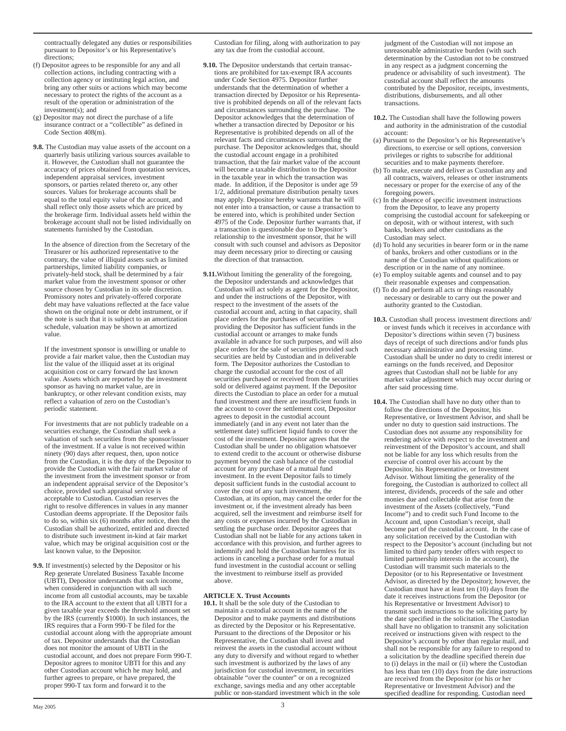- (f) Depositor agrees to be responsible for any and all collection actions, including contracting with a collection agency or instituting legal action, and bring any other suits or actions which may become necessary to protect the rights of the account as a result of the operation or administration of the investment(s); and
- (g) Depositor may not direct the purchase of a life insurance contract or a "collectible" as defined in Code Section 408(m).
- **9.8.** The Custodian may value assets of the account on a quarterly basis utilizing various sources available to it. However, the Custodian shall not guarantee the accuracy of prices obtained from quotation services, independent appraisal services, investment sponsors, or parties related thereto or, any other sources. Values for brokerage accounts shall be equal to the total equity value of the account, and shall reflect only those assets which are priced by the brokerage firm. Individual assets held within the brokerage account shall not be listed individually on statements furnished by the Custodian.

In the absence of direction from the Secretary of the Treasurer or his authorized representative to the contrary, the value of illiquid assets such as limited partnerships, limited liability companies, or privately-held stock, shall be determined by a fair market value from the investment sponsor or other source chosen by Custodian in its sole discretion. Promissory notes and privately-offered corporate debt may have valuations reflected at the face value shown on the original note or debt instrument, or if the note is such that it is subject to an amortization schedule, valuation may be shown at amortized value.

If the investment sponsor is unwilling or unable to provide a fair market value, then the Custodian may list the value of the illiquid asset at its original acquisition cost or carry forward the last known value. Assets which are reported by the investment sponsor as having no market value, are in bankruptcy, or other relevant condition exists, may reflect a valuation of zero on the Custodian's periodic statement.

For investments that are not publicly tradeable on a securities exchange, the Custodian shall seek a valuation of such securities from the sponsor/issuer of the investment. If a value is not received within ninety (90) days after request, then, upon notice from the Custodian, it is the duty of the Depositor to provide the Custodian with the fair market value of the investment from the investment sponsor or from an independent appraisal service of the Depositor's choice, provided such appraisal service is acceptable to Custodian. Custodian reserves the right to resolve differences in values in any manner Custodian deems appropriate. If the Depositor fails to do so, within six (6) months after notice, then the Custodian shall be authorized, entitled and directed to distribute such investment in-kind at fair market value, which may be original acquisition cost or the last known value, to the Depositor.

**9.9.** If investment(s) selected by the Depositor or his Rep generate Unrelated Business Taxable Income (UBTI), Depositor understands that such income, when considered in conjunction with all such income from all custodial accounts, may be taxable to the IRA account to the extent that all UBTI for a given taxable year exceeds the threshold amount set by the IRS (currently \$1000). In such instances, the IRS requires that a Form 990-T be filed for the custodial account along with the appropriate amount of tax. Depositor understands that the Custodian does not monitor the amount of UBTI in the custodial account, and does not prepare Form 990-T. Depositor agrees to monitor UBTI for this and any other Custodian account which he may hold, and further agrees to prepare, or have prepared, the proper 990-T tax form and forward it to the

Custodian for filing, along with authorization to pay any tax due from the custodial account.

- **9.10.** The Depositor understands that certain transactions are prohibited for tax-exempt IRA accounts under Code Section 4975. Depositor further understands that the determination of whether a transaction directed by Depositor or his Representative is prohibited depends on all of the relevant facts and circumstances surrounding the purchase. The Depositor acknowledges that the determination of whether a transaction directed by Depositor or his Representative is prohibited depends on all of the relevant facts and circumstances surrounding the purchase. The Depositor acknowledges that, should the custodial account engage in a prohibited transaction, that the fair market value of the account will become a taxable distribution to the Depositor in the taxable year in which the transaction was made. In addition, if the Depositor is under age 59 1/2, additional premature distribution penalty taxes may apply. Depositor hereby warrants that he will not enter into a transaction, or cause a transaction to be entered into, which is prohibited under Section 4975 of the Code. Depositor further warrants that, if a transaction is questionable due to Depositor's relationship to the investment sponsor, that he will consult with such counsel and advisors as Depositor may deem necessary prior to directing or causing the direction of that transaction.
- **9.11.**Without limiting the generality of the foregoing, the Depositor understands and acknowledges that Custodian will act solely as agent for the Depositor, and under the instructions of the Depositor, with respect to the investment of the assets of the custodial account and, acting in that capacity, shall place orders for the purchases of securities providing the Depositor has sufficient funds in the custodial account or arranges to make funds available in advance for such purposes, and will also place orders for the sale of securities provided such securities are held by Custodian and in deliverable form. The Depositor authorizes the Custodian to charge the custodial account for the cost of all securities purchased or received from the securities sold or delivered against payment. If the Depositor directs the Custodian to place an order for a mutual fund investment and there are insufficient funds in the account to cover the settlement cost, Depositor agrees to deposit in the custodial account immediately (and in any event not later than the settlement date) sufficient liquid funds to cover the cost of the investment. Depositor agrees that the Custodian shall be under no obligation whatsoever to extend credit to the account or otherwise disburse payment beyond the cash balance of the custodial account for any purchase of a mutual fund investment. In the event Depositor fails to timely deposit sufficient funds in the custodial account to cover the cost of any such investment, the Custodian, at its option, may cancel the order for the investment or, if the investment already has been acquired, sell the investment and reimburse itself for any costs or expenses incurred by the Custodian in settling the purchase order. Depositor agrees that Custodian shall not be liable for any actions taken in accordance with this provision, and further agrees to indemnify and hold the Custodian harmless for its actions in canceling a purchase order for a mutual fund investment in the custodial account or selling the investment to reimburse itself as provided above.

## **ARTICLE X. Trust Accounts**

**10.1.** It shall be the sole duty of the Custodian to maintain a custodial account in the name of the Depositor and to make payments and distributions as directed by the Depositor or his Representative. Pursuant to the directions of the Depositor or his Representative, the Custodian shall invest and reinvest the assets in the custodial account without any duty to diversify and without regard to whether such investment is authorized by the laws of any jurisdiction for custodial investment, in securities obtainable "over the counter" or on a recognized exchange, savings media and any other acceptable public or non-standard investment which in the sole judgment of the Custodian will not impose an unreasonable administrative burden (with such determination by the Custodian not to be construed in any respect as a judgment concerning the prudence or advisability of such investment). The custodial account shall reflect the amounts contributed by the Depositor, receipts, investments, distributions, disbursements, and all other transactions.

- **10.2.** The Custodian shall have the following powers and authority in the administration of the custodial account:
- (a) Pursuant to the Depositor's or his Representative's directions, to exercise or sell options, conversion privileges or rights to subscribe for additional securities and to make payments therefore.
- (b) To make, execute and deliver as Custodian any and all contracts, waivers, releases or other instruments necessary or proper for the exercise of any of the foregoing powers.
- (c) In the absence of specific investment instructions from the Depositor, to leave any property comprising the custodial account for safekeeping or on deposit, with or without interest, with such banks, brokers and other custodians as the Custodian may select.
- (d) To hold any securities in bearer form or in the name of banks, brokers and other custodians or in the name of the Custodian without qualifications or description or in the name of any nominee.
- (e) To employ suitable agents and counsel and to pay their reasonable expenses and compensation.
- (f) To do and perform all acts or things reasonably necessary or desirable to carry out the power and authority granted to the Custodian.
- **10.3.** Custodian shall process investment directions and/ or invest funds which it receives in accordance with Depositor's directions within seven (7) business days of receipt of such directions and/or funds plus necessary administrative and processing time. Custodian shall be under no duty to credit interest or earnings on the funds received, and Depositor agrees that Custodian shall not be liable for any market value adjustment which may occur during or after said processing time.
- **10.4.** The Custodian shall have no duty other than to follow the directions of the Depositor, his Representative, or Investment Advisor, and shall be under no duty to question said instructions. The Custodian does not assume any responsibility for rendering advice with respect to the investment and reinvestment of the Depositor's account, and shall not be liable for any loss which results from the exercise of control over his account by the Depositor, his Representative, or Investment Advisor. Without limiting the generality of the foregoing, the Custodian is authorized to collect all interest, dividends, proceeds of the sale and other monies due and collectable that arise from the investment of the Assets (collectively, "Fund Income") and to credit such Fund Income to the Account and, upon Custodian's receipt, shall become part of the custodial account. In the case of any solicitation received by the Custodian with respect to the Depositor's account (including but not limited to third party tender offers with respect to limited partnership interests in the account), the Custodian will transmit such materials to the Depositor (or to his Representative or Investment Advisor, as directed by the Depositor); however, the Custodian must have at least ten (10) days from the date it receives instructions from the Depositor (or his Representative or Investment Advisor) to transmit such instructions to the soliciting party by the date specified in the solicitation. The Custodian shall have no obligation to transmit any solicitation received or instructions given with respect to the Depositor's account by other than regular mail, and shall not be responsible for any failure to respond to a solicitation by the deadline specified therein due to (i) delays in the mail or (ii) where the Custodian has less than ten (10) days from the date instructions are received from the Depositor (or his or her Representative or Investment Advisor) and the specified deadline for responding. Custodian need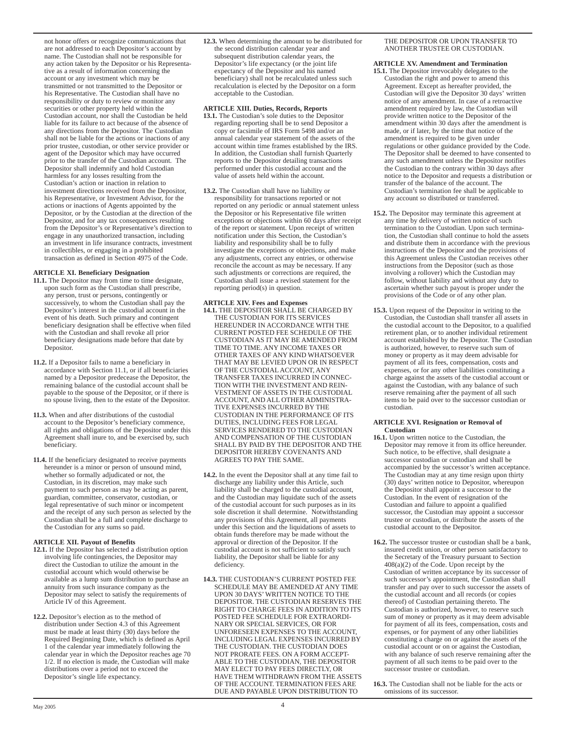not honor offers or recognize communications that are not addressed to each Depositor's account by name. The Custodian shall not be responsible for any action taken by the Depositor or his Representative as a result of information concerning the account or any investment which may be transmitted or not transmitted to the Depositor or his Representative. The Custodian shall have no responsibility or duty to review or monitor any securities or other property held within the Custodian account, nor shall the Custodian be held liable for its failure to act because of the absence of any directions from the Depositor. The Custodian shall not be liable for the actions or inactions of any prior trustee, custodian, or other service provider or agent of the Depositor which may have occurred prior to the transfer of the Custodian account. The Depositor shall indemnify and hold Custodian harmless for any losses resulting from the Custodian's action or inaction in relation to investment directions received from the Depositor, his Representative, or Investment Advisor, for the actions or inactions of Agents appointed by the Depositor, or by the Custodian at the direction of the Depositor, and for any tax consequences resulting from the Depositor's or Representative's direction to engage in any unauthorized transaction, including an investment in life insurance contracts, investment in collectibles, or engaging in a prohibited transaction as defined in Section 4975 of the Code.

# **ARTICLE XI. Beneficiary Designation**

- **11.1.** The Depositor may from time to time designate, upon such form as the Custodian shall prescribe, any person, trust or persons, contingently or successively, to whom the Custodian shall pay the Depositor's interest in the custodial account in the event of his death. Such primary and contingent beneficiary designation shall be effective when filed with the Custodian and shall revoke all prior beneficiary designations made before that date by Depositor.
- **11.2.** If a Depositor fails to name a beneficiary in accordance with Section 11.1, or if all beneficiaries named by a Depositor predecease the Depositor, the remaining balance of the custodial account shall be payable to the spouse of the Depositor, or if there is no spouse living, then to the estate of the Depositor.
- **11.3.** When and after distributions of the custodial account to the Depositor's beneficiary commence, all rights and obligations of the Depositor under this Agreement shall inure to, and be exercised by, such beneficiary.
- **11.4.** If the beneficiary designated to receive payments hereunder is a minor or person of unsound mind, whether so formally adjudicated or not, the Custodian, in its discretion, may make such payment to such person as may be acting as parent, guardian, committee, conservator, custodian, or legal representative of such minor or incompetent and the receipt of any such person as selected by the Custodian shall be a full and complete discharge to the Custodian for any sums so paid.

# **ARTICLE XII. Payout of Benefits**

- **12.1.** If the Depositor has selected a distribution option involving life contingencies, the Depositor may direct the Custodian to utilize the amount in the custodial account which would otherwise be available as a lump sum distribution to purchase an annuity from such insurance company as the Depositor may select to satisfy the requirements of Article IV of this Agreement.
- **12.2.** Depositor's election as to the method of distribution under Section 4.3 of this Agreement must be made at least thirty (30) days before the Required Beginning Date, which is defined as April 1 of the calendar year immediately following the calendar year in which the Depositor reaches age 70 1/2. If no election is made, the Custodian will make distributions over a period not to exceed the Depositor's single life expectancy.

**12.3.** When determining the amount to be distributed for the second distribution calendar year and subsequent distribution calendar years, the Depositor's life expectancy (or the joint life expectancy of the Depositor and his named beneficiary) shall not be recalculated unless such recalculation is elected by the Depositor on a form acceptable to the Custodian.

# **ARTICLE XIII. Duties, Records, Reports**

- **13.1.** The Custodian's sole duties to the Depositor regarding reporting shall be to send Depositor a copy or facsimile of IRS Form 5498 and/or an annual calendar year statement of the assets of the account within time frames established by the IRS. In addition, the Custodian shall furnish Quarterly reports to the Depositor detailing transactions performed under this custodial account and the value of assets held within the account.
- **13.2.** The Custodian shall have no liability or responsibility for transactions reported or not reported on any periodic or annual statement unless the Depositor or his Representative file written exceptions or objections within 60 days after receipt of the report or statement. Upon receipt of written notification under this Section, the Custodian's liability and responsibility shall be to fully investigate the exceptions or objections, and make any adjustments, correct any entries, or otherwise reconcile the account as may be necessary. If any such adjustments or corrections are required, the Custodian shall issue a revised statement for the reporting period(s) in question.

## **ARTICLE XIV. Fees and Expenses**

- **14.1.** THE DEPOSITOR SHALL BE CHARGED BY THE CUSTODIAN FOR ITS SERVICES HEREUNDER IN ACCORDANCE WITH THE CURRENT POSTED FEE SCHEDULE OF THE CUSTODIAN AS IT MAY BE AMENDED FROM TIME TO TIME. ANY INCOME TAXES OR OTHER TAXES OF ANY KIND WHATSOEVER THAT MAY BE LEVIED UPON OR IN RESPECT OF THE CUSTODIAL ACCOUNT, ANY TRANSFER TAXES INCURRED IN CONNEC-TION WITH THE INVESTMENT AND REIN-VESTMENT OF ASSETS IN THE CUSTODIAL ACCOUNT, AND ALL OTHER ADMINISTRA-TIVE EXPENSES INCURRED BY THE CUSTODIAN IN THE PERFORMANCE OF ITS DUTIES, INCLUDING FEES FOR LEGAL SERVICES RENDERED TO THE CUSTODIAN AND COMPENSATION OF THE CUSTODIAN SHALL BY PAID BY THE DEPOSITOR AND THE DEPOSITOR HEREBY COVENANTS AND AGREES TO PAY THE SAME.
- **14.2.** In the event the Depositor shall at any time fail to discharge any liability under this Article, such liability shall be charged to the custodial account, and the Custodian may liquidate such of the assets of the custodial account for such purposes as in its sole discretion it shall determine. Notwithstanding any provisions of this Agreement, all payments under this Section and the liquidations of assets to obtain funds therefore may be made without the approval or direction of the Depositor. If the custodial account is not sufficient to satisfy such liability, the Depositor shall be liable for any deficiency.
- **14.3.** THE CUSTODIAN'S CURRENT POSTED FEE SCHEDULE MAY BE AMENDED AT ANY TIME UPON 30 DAYS' WRITTEN NOTICE TO THE DEPOSITOR. THE CUSTODIAN RESERVES THE RIGHT TO CHARGE FEES IN ADDITION TO ITS POSTED FEE SCHEDULE FOR EXTRAORDI-NARY OR SPECIAL SERVICES, OR FOR UNFORESEEN EXPENSES TO THE ACCOUNT, INCLUDING LEGAL EXPENSES INCURRED BY THE CUSTODIAN. THE CUSTODIAN DOES NOT PRORATE FEES. ON A FORM ACCEPT-ABLE TO THE CUSTODIAN, THE DEPOSITOR MAY ELECT TO PAY FEES DIRECTLY, OR HAVE THEM WITHDRAWN FROM THE ASSETS OF THE ACCOUNT. TERMINATION FEES ARE DUE AND PAYABLE UPON DISTRIBUTION TO

## THE DEPOSITOR OR UPON TRANSFER TO ANOTHER TRUSTEE OR CUSTODIAN.

## **ARTICLE XV. Amendment and Termination**

- **15.1.** The Depositor irrevocably delegates to the Custodian the right and power to amend this Agreement. Except as hereafter provided, the Custodian will give the Depositor 30 days' written notice of any amendment. In case of a retroactive amendment required by law, the Custodian will provide written notice to the Depositor of the amendment within 30 days after the amendment is made, or if later, by the time that notice of the amendment is required to be given under regulations or other guidance provided by the Code. The Depositor shall be deemed to have consented to any such amendment unless the Depositor notifies the Custodian to the contrary within 30 days after notice to the Depositor and requests a distribution or transfer of the balance of the account. The Custodian's termination fee shall be applicable to any account so distributed or transferred.
- **15.2.** The Depositor may terminate this agreement at any time by delivery of written notice of such termination to the Custodian. Upon such termination, the Custodian shall continue to hold the assets and distribute them in accordance with the previous instructions of the Depositor and the provisions of this Agreement unless the Custodian receives other instructions from the Depositor (such as those involving a rollover) which the Custodian may follow, without liability and without any duty to ascertain whether such payout is proper under the provisions of the Code or of any other plan.
- **15.3.** Upon request of the Depositor in writing to the Custodian, the Custodian shall transfer all assets in the custodial account to the Depositor, to a qualified retirement plan, or to another individual retirement account established by the Depositor. The Custodian is authorized, however, to reserve such sum of money or property as it may deem advisable for payment of all its fees, compensation, costs and expenses, or for any other liabilities constituting a charge against the assets of the custodial account or against the Custodian, with any balance of such reserve remaining after the payment of all such items to be paid over to the successor custodian or custodian.

#### **ARTICLE XVI. Resignation or Removal of Custodian**

- **16.1.** Upon written notice to the Custodian, the Depositor may remove it from its office hereunder. Such notice, to be effective, shall designate a successor custodian or custodian and shall be accompanied by the successor's written acceptance. The Custodian may at any time resign upon thirty (30) days' written notice to Depositor, whereupon the Depositor shall appoint a successor to the Custodian. In the event of resignation of the Custodian and failure to appoint a qualified successor, the Custodian may appoint a successor trustee or custodian, or distribute the assets of the custodial account to the Depositor.
- **16.2.** The successor trustee or custodian shall be a bank, insured credit union, or other person satisfactory to the Secretary of the Treasury pursuant to Section 408(a)(2) of the Code. Upon receipt by the Custodian of written acceptance by its successor of such successor's appointment, the Custodian shall transfer and pay over to such successor the assets of the custodial account and all records (or copies thereof) of Custodian pertaining thereto. The Custodian is authorized, however, to reserve such sum of money or property as it may deem advisable for payment of all its fees, compensation, costs and expenses, or for payment of any other liabilities constituting a charge on or against the assets of the custodial account or on or against the Custodian, with any balance of such reserve remaining after the payment of all such items to be paid over to the successor trustee or custodian.
- **16.3.** The Custodian shall not be liable for the acts or omissions of its successor.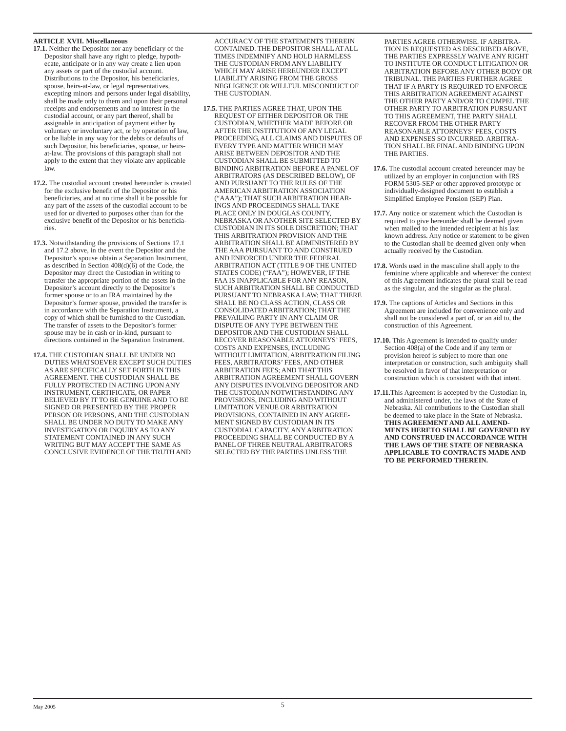## **ARTICLE XVII. Miscellaneous**

- **17.1.** Neither the Depositor nor any beneficiary of the Depositor shall have any right to pledge, hypothecate, anticipate or in any way create a lien upon any assets or part of the custodial account. Distributions to the Depositor, his beneficiaries, spouse, heirs-at-law, or legal representatives, excepting minors and persons under legal disability, shall be made only to them and upon their personal receipts and endorsements and no interest in the custodial account, or any part thereof, shall be assignable in anticipation of payment either by voluntary or involuntary act, or by operation of law, or be liable in any way for the debts or defaults of such Depositor, his beneficiaries, spouse, or heirsat-law. The provisions of this paragraph shall not apply to the extent that they violate any applicable law.
- **17.2.** The custodial account created hereunder is created for the exclusive benefit of the Depositor or his beneficiaries, and at no time shall it be possible for any part of the assets of the custodial account to be used for or diverted to purposes other than for the exclusive benefit of the Depositor or his beneficiaries.
- **17.3.** Notwithstanding the provisions of Sections 17.1 and 17.2 above, in the event the Depositor and the Depositor's spouse obtain a Separation Instrument, as described in Section  $408(d)(6)$  of the Code, the Depositor may direct the Custodian in writing to transfer the appropriate portion of the assets in the Depositor's account directly to the Depositor's former spouse or to an IRA maintained by the Depositor's former spouse, provided the transfer is in accordance with the Separation Instrument, a copy of which shall be furnished to the Custodian. The transfer of assets to the Depositor's former spouse may be in cash or in-kind, pursuant to directions contained in the Separation Instrument.
- **17.4.** THE CUSTODIAN SHALL BE UNDER NO DUTIES WHATSOEVER EXCEPT SUCH DUTIES AS ARE SPECIFICALLY SET FORTH IN THIS AGREEMENT. THE CUSTODIAN SHALL BE FULLY PROTECTED IN ACTING UPON ANY INSTRUMENT, CERTIFICATE, OR PAPER BELIEVED BY IT TO BE GENUINE AND TO BE SIGNED OR PRESENTED BY THE PROPER PERSON OR PERSONS, AND THE CUSTODIAN SHALL BE UNDER NO DUTY TO MAKE ANY INVESTIGATION OR INQUIRY AS TO ANY STATEMENT CONTAINED IN ANY SUCH WRITING BUT MAY ACCEPT THE SAME AS CONCLUSIVE EVIDENCE OF THE TRUTH AND

ACCURACY OF THE STATEMENTS THEREIN CONTAINED. THE DEPOSITOR SHALL AT ALL TIMES INDEMNIFY AND HOLD HARMLESS THE CUSTODIAN FROM ANY LIABILITY WHICH MAY ARISE HEREUNDER EXCEPT LIABILITY ARISING FROM THE GROSS NEGLIGENCE OR WILLFUL MISCONDUCT OF THE CUSTODIAN.

**17.5.** THE PARTIES AGREE THAT, UPON THE REQUEST OF EITHER DEPOSITOR OR THE CUSTODIAN, WHETHER MADE BEFORE OR AFTER THE INSTITUTION OF ANY LEGAL PROCEEDING, ALL CLAIMS AND DISPUTES OF EVERY TYPE AND MATTER WHICH MAY ARISE BETWEEN DEPOSITOR AND THE CUSTODIAN SHALL BE SUBMITTED TO BINDING ARBITRATION BEFORE A PANEL OF ARBITRATORS (AS DESCRIBED BELOW), OF AND PURSUANT TO THE RULES OF THE AMERICAN ARBITRATION ASSOCIATION ("AAA"); THAT SUCH ARBITRATION HEAR-INGS AND PROCEEDINGS SHALL TAKE PLACE ONLY IN DOUGLAS COUNTY NEBRASKA OR ANOTHER SITE SELECTED BY CUSTODIAN IN ITS SOLE DISCRETION; THAT THIS ARBITRATION PROVISION AND THE ARBITRATION SHALL BE ADMINISTERED BY THE AAA PURSUANT TO AND CONSTRUED AND ENFORCED UNDER THE FEDERAL ARBITRATION ACT (TITLE 9 OF THE UNITED STATES CODE) ("FAA"); HOWEVER, IF THE FAA IS INAPPLICABLE FOR ANY REASON, SUCH ARBITRATION SHALL BE CONDUCTED PURSUANT TO NEBRASKA LAW; THAT THERE SHALL BE NO CLASS ACTION, CLASS OR CONSOLIDATED ARBITRATION; THAT THE PREVAILING PARTY IN ANY CLAIM OR DISPUTE OF ANY TYPE BETWEEN THE DEPOSITOR AND THE CUSTODIAN SHALL RECOVER REASONABLE ATTORNEYS' FEES, COSTS AND EXPENSES, INCLUDING WITHOUT LIMITATION, ARBITRATION FILING FEES, ARBITRATORS' FEES, AND OTHER ARBITRATION FEES; AND THAT THIS ARBITRATION AGREEMENT SHALL GOVERN ANY DISPUTES INVOLVING DEPOSITOR AND THE CUSTODIAN NOTWITHSTANDING ANY PROVISIONS, INCLUDING AND WITHOUT LIMITATION VENUE OR ARBITRATION PROVISIONS, CONTAINED IN ANY AGREE-MENT SIGNED BY CUSTODIAN IN ITS CUSTODIAL CAPACITY. ANY ARBITRATION PROCEEDING SHALL BE CONDUCTED BY A PANEL OF THREE NEUTRAL ARBITRATORS SELECTED BY THE PARTIES UNLESS THE

PARTIES AGREE OTHERWISE. IF ARBITRA-TION IS REQUESTED AS DESCRIBED ABOVE, THE PARTIES EXPRESSLY WAIVE ANY RIGHT TO INSTITUTE OR CONDUCT LITIGATION OR ARBITRATION BEFORE ANY OTHER BODY OR TRIBUNAL. THE PARTIES FURTHER AGREE THAT IF A PARTY IS REQUIRED TO ENFORCE THIS ARBITRATION AGREEMENT AGAINST THE OTHER PARTY AND/OR TO COMPEL THE OTHER PARTY TO ARBITRATION PURSUANT TO THIS AGREEMENT, THE PARTY SHALL RECOVER FROM THE OTHER PARTY REASONABLE ATTORNEYS' FEES, COSTS AND EXPENSES SO INCURRED. ARBITRA-TION SHALL BE FINAL AND BINDING UPON THE PARTIES.

- **17.6.** The custodial account created hereunder may be utilized by an employer in conjunction with IRS FORM 5305-SEP or other approved prototype or individually-designed document to establish a Simplified Employee Pension (SEP) Plan.
- **17.7.** Any notice or statement which the Custodian is required to give hereunder shall be deemed given when mailed to the intended recipient at his last known address. Any notice or statement to be given to the Custodian shall be deemed given only when actually received by the Custodian.
- **17.8.** Words used in the masculine shall apply to the feminine where applicable and wherever the context of this Agreement indicates the plural shall be read as the singular, and the singular as the plural.
- 17.9. The captions of Articles and Sections in this Agreement are included for convenience only and shall not be considered a part of, or an aid to, the construction of this Agreement.
- **17.10.** This Agreement is intended to qualify under Section 408(a) of the Code and if any term or provision hereof is subject to more than one interpretation or construction, such ambiguity shall be resolved in favor of that interpretation or construction which is consistent with that intent.
- **17.11.**This Agreement is accepted by the Custodian in, and administered under, the laws of the State of Nebraska. All contributions to the Custodian shall be deemed to take place in the State of Nebraska. **THIS AGREEMENT AND ALL AMEND-MENTS HERETO SHALL BE GOVERNED BY AND CONSTRUED IN ACCORDANCE WITH THE LAWS OF THE STATE OF NEBRASKA APPLICABLE TO CONTRACTS MADE AND TO BE PERFORMED THEREIN.**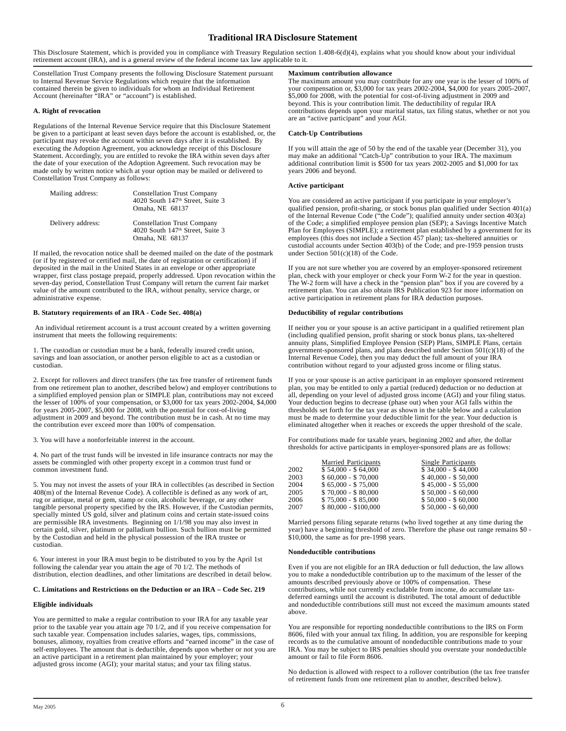# **Traditional IRA Disclosure Statement**

This Disclosure Statement, which is provided you in compliance with Treasury Regulation section 1.408-6(d)(4), explains what you should know about your individual retirement account (IRA), and is a general review of the federal income tax law applicable to it.

Constellation Trust Company presents the following Disclosure Statement pursuant to Internal Revenue Service Regulations which require that the information contained therein be given to individuals for whom an Individual Retirement Account (hereinafter "IRA" or "account") is established.

## **A. Right of revocation**

Regulations of the Internal Revenue Service require that this Disclosure Statement be given to a participant at least seven days before the account is established, or, the participant may revoke the account within seven days after it is established. By executing the Adoption Agreement, you acknowledge receipt of this Disclosure Statement. Accordingly, you are entitled to revoke the IRA within seven days after the date of your execution of the Adoption Agreement. Such revocation may be made only by written notice which at your option may be mailed or delivered to Constellation Trust Company as follows:

| Mailing address:  | <b>Constellation Trust Company</b><br>4020 South 147 <sup>th</sup> Street, Suite 3<br>Omaha, NE 68137 |
|-------------------|-------------------------------------------------------------------------------------------------------|
| Delivery address: | <b>Constellation Trust Company</b><br>4020 South 147 <sup>th</sup> Street, Suite 3<br>Omaha, NE 68137 |

If mailed, the revocation notice shall be deemed mailed on the date of the postmark (or if by registered or certified mail, the date of registration or certification) if deposited in the mail in the United States in an envelope or other appropriate wrapper, first class postage prepaid, properly addressed. Upon revocation within the seven-day period, Constellation Trust Company will return the current fair market value of the amount contributed to the IRA, without penalty, service charge, or administrative expense.

## **B. Statutory requirements of an IRA - Code Sec. 408(a)**

 An individual retirement account is a trust account created by a written governing instrument that meets the following requirements:

1. The custodian or custodian must be a bank, federally insured credit union, savings and loan association, or another person eligible to act as a custodian or custodian.

2. Except for rollovers and direct transfers (the tax free transfer of retirement funds from one retirement plan to another, described below) and employer contributions to a simplified employed pension plan or SIMPLE plan, contributions may not exceed the lesser of 100% of your compensation, or \$3,000 for tax years 2002-2004, \$4,000 for years 2005-2007, \$5,000 for 2008, with the potential for cost-of-living adjustment in 2009 and beyond. The contribution must be in cash. At no time may the contribution ever exceed more than 100% of compensation.

3. You will have a nonforfeitable interest in the account.

4. No part of the trust funds will be invested in life insurance contracts nor may the assets be commingled with other property except in a common trust fund or common investment fund.

5. You may not invest the assets of your IRA in collectibles (as described in Section 408(m) of the Internal Revenue Code). A collectible is defined as any work of art, rug or antique, metal or gem, stamp or coin, alcoholic beverage, or any other tangible personal property specified by the IRS. However, if the Custodian permits, specially minted US gold, silver and platinum coins and certain state-issued coins are permissible IRA investments. Beginning on 1/1/98 you may also invest in certain gold, silver, platinum or palladium bullion. Such bullion must be permitted by the Custodian and held in the physical possession of the IRA trustee or custodian.

6. Your interest in your IRA must begin to be distributed to you by the April 1st following the calendar year you attain the age of 70 1/2. The methods of distribution, election deadlines, and other limitations are described in detail below.

## **C. Limitations and Restrictions on the Deduction or an IRA – Code Sec. 219**

# **Eligible individuals**

You are permitted to make a regular contribution to your IRA for any taxable year prior to the taxable year you attain age 70 1/2, and if you receive compensation for such taxable year. Compensation includes salaries, wages, tips, commissions, bonuses, alimony, royalties from creative efforts and "earned income" in the case of self-employees. The amount that is deductible, depends upon whether or not you are an active participant in a retirement plan maintained by your employer; your adjusted gross income (AGI); your marital status; and your tax filing status.

# **Maximum contribution allowance**

The maximum amount you may contribute for any one year is the lesser of 100% of your compensation or, \$3,000 for tax years 2002-2004, \$4,000 for years 2005-2007, \$5,000 for 2008, with the potential for cost-of-living adjustment in 2009 and beyond. This is your contribution limit. The deductibility of regular IRA contributions depends upon your marital status, tax filing status, whether or not you are an "active participant" and your AGI.

#### **Catch-Up Contributions**

If you will attain the age of 50 by the end of the taxable year (December 31), you may make an additional "Catch-Up" contribution to your IRA. The maximum additional contribution limit is \$500 for tax years 2002-2005 and \$1,000 for tax years 2006 and beyond.

# **Active participant**

You are considered an active participant if you participate in your employer's qualified pension, profit-sharing, or stock bonus plan qualified under Section 401(a) of the Internal Revenue Code ("the Code"); qualified annuity under section 403(a) of the Code; a simplified employee pension plan (SEP); a Savings Incentive Match Plan for Employees (SIMPLE); a retirement plan established by a government for its employees (this does not include a Section 457 plan); tax-sheltered annuities or custodial accounts under Section 403(b) of the Code; and pre-1959 pension trusts under Section 501(c)(18) of the Code.

If you are not sure whether you are covered by an employer-sponsored retirement plan, check with your employer or check your Form W-2 for the year in question. The W-2 form will have a check in the "pension plan" box if you are covered by a retirement plan. You can also obtain IRS Publication 923 for more information on active participation in retirement plans for IRA deduction purposes.

#### **Deductibility of regular contributions**

If neither you or your spouse is an active participant in a qualified retirement plan (including qualified pension, profit sharing or stock bonus plans, tax-sheltered annuity plans, Simplified Employee Pension (SEP) Plans, SIMPLE Plans, certain government-sponsored plans, and plans described under Section 501(c)(18) of the Internal Revenue Code), then you may deduct the full amount of your IRA contribution without regard to your adjusted gross income or filing status.

If you or your spouse is an active participant in an employer sponsored retirement plan, you may be entitled to only a partial (reduced) deduction or no deduction at all, depending on your level of adjusted gross income (AGI) and your filing status. Your deduction begins to decrease (phase out) when your AGI falls within the thresholds set forth for the tax year as shown in the table below and a calculation must be made to determine your deductible limit for the year. Your deduction is eliminated altogether when it reaches or exceeds the upper threshold of the scale.

For contributions made for taxable years, beginning 2002 and after, the dollar thresholds for active participants in employer-sponsored plans are as follows:

|      | <b>Married Participants</b> | <b>Single Participants</b> |
|------|-----------------------------|----------------------------|
| 2002 | $$54.000 - $64.000$         | $$34,000 - $44,000$        |
| 2003 | $$60,000 - $70,000$         | $$40,000 - $50,000$        |
| 2004 | $$65,000 - $75,000$         | $$45,000 - $55,000$        |
| 2005 | $$70,000 - $80,000$         | $$50,000 - $60,000$        |
| 2006 | $$75,000 - $85,000$         | $$50,000 - $60,000$        |
| 2007 | $$80,000 - $100,000$        | $$50,000 - $60,000$        |

Married persons filing separate returns (who lived together at any time during the year) have a beginning threshold of zero. Therefore the phase out range remains \$0 - \$10,000, the same as for pre-1998 years.

#### **Nondeductible contributions**

Even if you are not eligible for an IRA deduction or full deduction, the law allows you to make a nondeductible contribution up to the maximum of the lesser of the amounts described previously above or 100% of compensation. These contributions, while not currently excludable from income, do accumulate taxdeferred earnings until the account is distributed. The total amount of deductible and nondeductible contributions still must not exceed the maximum amounts stated above.

You are responsible for reporting nondeductible contributions to the IRS on Form 8606, filed with your annual tax filing. In addition, you are responsible for keeping records as to the cumulative amount of nondeductible contributions made to your IRA. You may be subject to IRS penalties should you overstate your nondeductible amount or fail to file Form 8606.

No deduction is allowed with respect to a rollover contribution (the tax free transfer of retirement funds from one retirement plan to another, described below).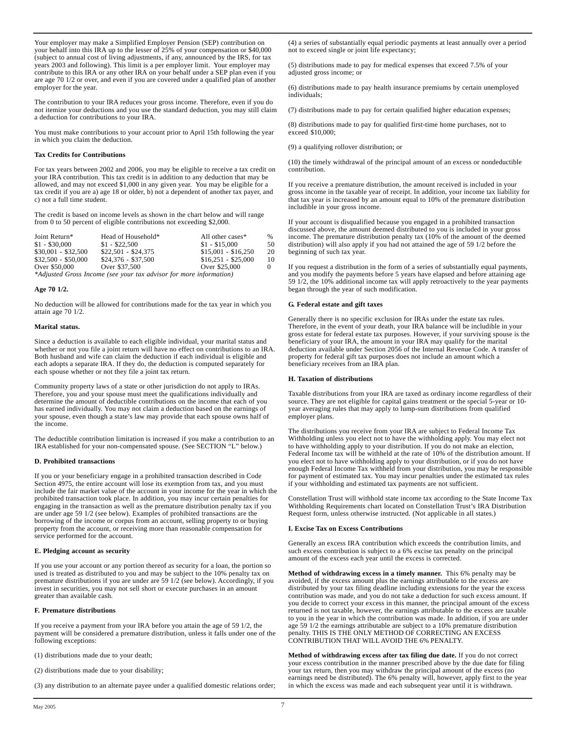Your employer may make a Simplified Employer Pension (SEP) contribution on your behalf into this IRA up to the lesser of 25% of your compensation or \$40,000 (subject to annual cost of living adjustments, if any, announced by the IRS, for tax years 2003 and following). This limit is a per employer limit. Your employer may contribute to this IRA or any other IRA on your behalf under a SEP plan even if you are age 70 1/2 or over, and even if you are covered under a qualified plan of another employer for the year.

The contribution to your IRA reduces your gross income. Therefore, even if you do not itemize your deductions and you use the standard deduction, you may still claim a deduction for contributions to your IRA.

You must make contributions to your account prior to April 15th following the year in which you claim the deduction.

#### **Tax Credits for Contributions**

For tax years between 2002 and 2006, you may be eligible to receive a tax credit on your IRA contribution. This tax credit is in addition to any deduction that may be allowed, and may not exceed \$1,000 in any given year. You may be eligible for a tax credit if you are a) age 18 or older, b) not a dependent of another tax payer, and c) not a full time student.

The credit is based on income levels as shown in the chart below and will range from 0 to 50 percent of eligible contributions not exceeding \$2,000.

| Joint Return*       | Head of Household*                                                 | All other cases*    | $\frac{0}{6}$ |
|---------------------|--------------------------------------------------------------------|---------------------|---------------|
| $$1 - $30,000$      | $$1 - $22.500$                                                     | $$1 - $15,000$      | 50            |
| $$30.001 - $32.500$ | $$22.501 - $24.375$                                                | $$15,001 - $16,250$ | 20            |
| $$32,500 - $50,000$ | $$24.376 - $37.500$                                                | $$16.251 - $25.000$ | 10            |
| Over \$50,000       | Over \$37,500                                                      | Over \$25,000       | $\Omega$      |
|                     | *Adjusted Gross Income (see your tax advisor for more information) |                     |               |

*\*Adjusted Gross Income (see your tax advisor for more information)*

## **Age 70 1/2.**

No deduction will be allowed for contributions made for the tax year in which you attain age 70 1/2.

## **Marital status.**

Since a deduction is available to each eligible individual, your marital status and whether or not you file a joint return will have no effect on contributions to an IRA. Both husband and wife can claim the deduction if each individual is eligible and each adopts a separate IRA. If they do, the deduction is computed separately for each spouse whether or not they file a joint tax return.

Community property laws of a state or other jurisdiction do not apply to IRAs. Therefore, you and your spouse must meet the qualifications individually and determine the amount of deductible contributions on the income that each of you has earned individually. You may not claim a deduction based on the earnings of your spouse, even though a state's law may provide that each spouse owns half of the income.

The deductible contribution limitation is increased if you make a contribution to an IRA established for your non-compensated spouse. (See SECTION "L" below.)

## **D. Prohibited transactions**

If you or your beneficiary engage in a prohibited transaction described in Code Section 4975, the entire account will lose its exemption from tax, and you must include the fair market value of the account in your income for the year in which the prohibited transaction took place. In addition, you may incur certain penalties for engaging in the transaction as well as the premature distribution penalty tax if you are under age 59 1/2 (see below). Examples of prohibited transactions are the borrowing of the income or corpus from an account, selling property to or buying property from the account, or receiving more than reasonable compensation for service performed for the account.

## **E. Pledging account as security**

If you use your account or any portion thereof as security for a loan, the portion so used is treated as distributed to you and may be subject to the 10% penalty tax on premature distributions if you are under are 59 1/2 (see below). Accordingly, if you invest in securities, you may not sell short or execute purchases in an amount greater than available cash.

## **F. Premature distributions**

If you receive a payment from your IRA before you attain the age of 59 1/2, the payment will be considered a premature distribution, unless it falls under one of the following exceptions:

(1) distributions made due to your death;

(2) distributions made due to your disability;

(3) any distribution to an alternate payee under a qualified domestic relations order;

(4) a series of substantially equal periodic payments at least annually over a period not to exceed single or joint life expectancy;

(5) distributions made to pay for medical expenses that exceed 7.5% of your adjusted gross income; or

(6) distributions made to pay health insurance premiums by certain unemployed individuals;

(7) distributions made to pay for certain qualified higher education expenses;

(8) distributions made to pay for qualified first-time home purchases, not to exceed \$10,000;

(9) a qualifying rollover distribution; or

(10) the timely withdrawal of the principal amount of an excess or nondeductible contribution.

If you receive a premature distribution, the amount received is included in your gross income in the taxable year of receipt. In addition, your income tax liability for that tax year is increased by an amount equal to 10% of the premature distribution includible in your gross income.

If your account is disqualified because you engaged in a prohibited transaction discussed above, the amount deemed distributed to you is included in your gross income. The premature distribution penalty tax (10% of the amount of the deemed distribution) will also apply if you had not attained the age of 59 1/2 before the beginning of such tax year.

If you request a distribution in the form of a series of substantially equal payments, and you modify the payments before 5 years have elapsed and before attaining age 59 1/2, the 10% additional income tax will apply retroactively to the year payments began through the year of such modification.

## **G. Federal estate and gift taxes**

Generally there is no specific exclusion for IRAs under the estate tax rules. Therefore, in the event of your death, your IRA balance will be includible in your gross estate for federal estate tax purposes. However, if your surviving spouse is the beneficiary of your IRA, the amount in your IRA may qualify for the marital deduction available under Section 2056 of the Internal Revenue Code. A transfer of property for federal gift tax purposes does not include an amount which a beneficiary receives from an IRA plan.

## **H. Taxation of distributions**

Taxable distributions from your IRA are taxed as ordinary income regardless of their source. They are not eligible for capital gains treatment or the special 5-year or 10 year averaging rules that may apply to lump-sum distributions from qualified employer plans.

The distributions you receive from your IRA are subject to Federal Income Tax Withholding unless you elect not to have the withholding apply. You may elect not to have withholding apply to your distribution. If you do not make an election, Federal Income tax will be withheld at the rate of 10% of the distribution amount. If you elect not to have withholding apply to your distribution, or if you do not have enough Federal Income Tax withheld from your distribution, you may be responsible for payment of estimated tax. You may incur penalties under the estimated tax rules if your withholding and estimated tax payments are not sufficient.

Constellation Trust will withhold state income tax according to the State Income Tax Withholding Requirements chart located on Constellation Trust's IRA Distribution Request form, unless otherwise instructed. (Not applicable in all states.)

## **I. Excise Tax on Excess Contributions**

Generally an excess IRA contribution which exceeds the contribution limits, and such excess contribution is subject to a 6% excise tax penalty on the principal amount of the excess each year until the excess is corrected.

**Method of withdrawing excess in a timely manner.** This 6% penalty may be avoided, if the excess amount plus the earnings attributable to the excess are distributed by your tax filing deadline including extensions for the year the excess contribution was made, and you do not take a deduction for such excess amount. If you decide to correct your excess in this manner, the principal amount of the excess returned is not taxable, however, the earnings attributable to the excess are taxable to you in the year in which the contribution was made. In addition, if you are under age 59 1/2 the earnings attributable are subject to a 10% premature distribution penalty. THIS IS THE ONLY METHOD OF CORRECTING AN EXCESS CONTRIBUTION THAT WILL AVOID THE 6% PENALTY.

**Method of withdrawing excess after tax filing due date.** If you do not correct your excess contribution in the manner prescribed above by the due date for filing your tax return, then you may withdraw the principal amount of the excess (no earnings need be distributed). The 6% penalty will, however, apply first to the year in which the excess was made and each subsequent year until it is withdrawn.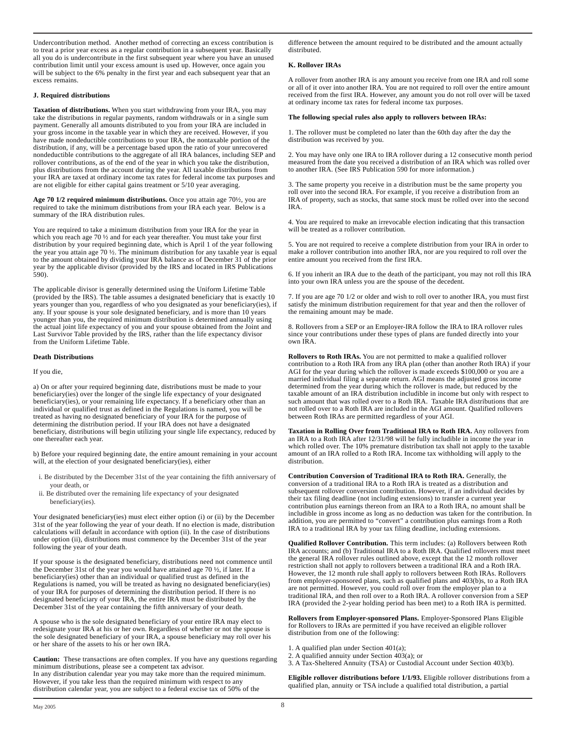Undercontribution method. Another method of correcting an excess contribution is to treat a prior year excess as a regular contribution in a subsequent year. Basically all you do is undercontribute in the first subsequent year where you have an unused contribution limit until your excess amount is used up. However, once again you will be subject to the 6% penalty in the first year and each subsequent year that an excess remains.

## **J. Required distributions**

**Taxation of distributions.** When you start withdrawing from your IRA, you may take the distributions in regular payments, random withdrawals or in a single sum payment. Generally all amounts distributed to you from your IRA are included in your gross income in the taxable year in which they are received. However, if you have made nondeductible contributions to your IRA, the nontaxable portion of the distribution, if any, will be a percentage based upon the ratio of your unrecovered nondeductible contributions to the aggregate of all IRA balances, including SEP and rollover contributions, as of the end of the year in which you take the distribution, plus distributions from the account during the year. All taxable distributions from your IRA are taxed at ordinary income tax rates for federal income tax purposes and are not eligible for either capital gains treatment or 5/10 year averaging.

**Age 70 1/2 required minimum distributions.** Once you attain age 70½, you are required to take the minimum distributions from your IRA each year. Below is a summary of the IRA distribution rules.

You are required to take a minimum distribution from your IRA for the year in which you reach age 70 ½ and for each year thereafter. You must take your first distribution by your required beginning date, which is April 1 of the year following the year you attain age 70 ½. The minimum distribution for any taxable year is equal to the amount obtained by dividing your IRA balance as of December 31 of the prior year by the applicable divisor (provided by the IRS and located in IRS Publications 590).

The applicable divisor is generally determined using the Uniform Lifetime Table (provided by the IRS). The table assumes a designated beneficiary that is exactly 10 years younger than you, regardless of who you designated as your beneficiary(ies), if any. If your spouse is your sole designated beneficiary, and is more than 10 years younger than you, the required minimum distribution is determined annually using the actual joint life expectancy of you and your spouse obtained from the Joint and Last Survivor Table provided by the IRS, rather than the life expectancy divisor from the Uniform Lifetime Table.

## **Death Distributions**

#### If you die,

a) On or after your required beginning date, distributions must be made to your beneficiary(ies) over the longer of the single life expectancy of your designated beneficiary(ies), or your remaining life expectancy. If a beneficiary other than an individual or qualified trust as defined in the Regulations is named, you will be treated as having no designated beneficiary of your IRA for the purpose of determining the distribution period. If your IRA does not have a designated beneficiary, distributions will begin utilizing your single life expectancy, reduced by one thereafter each year.

b) Before your required beginning date, the entire amount remaining in your account will, at the election of your designated beneficiary(ies), either

- i. Be distributed by the December 31st of the year containing the fifth anniversary of your death, or
- ii. Be distributed over the remaining life expectancy of your designated beneficiary(ies).

Your designated beneficiary(ies) must elect either option (i) or (ii) by the December 31st of the year following the year of your death. If no election is made, distribution calculations will default in accordance with option (ii). In the case of distributions under option (ii), distributions must commence by the December 31st of the year following the year of your death.

If your spouse is the designated beneficiary, distributions need not commence until the December 31st of the year you would have attained age 70 ½, if later. If a beneficiary(ies) other than an individual or qualified trust as defined in the Regulations is named, you will be treated as having no designated beneficiary(ies) of your IRA for purposes of determining the distribution period. If there is no designated beneficiary of your IRA, the entire IRA must be distributed by the December 31st of the year containing the fifth anniversary of your death.

A spouse who is the sole designated beneficiary of your entire IRA may elect to redesignate your IRA at his or her own. Regardless of whether or not the spouse is the sole designated beneficiary of your IRA, a spouse beneficiary may roll over his or her share of the assets to his or her own IRA.

**Caution:** These transactions are often complex. If you have any questions regarding minimum distributions, please see a competent tax advisor. In any distribution calendar year you may take more than the required minimum. However, if you take less than the required minimum with respect to any distribution calendar year, you are subject to a federal excise tax of 50% of the

difference between the amount required to be distributed and the amount actually distributed.

# **K. Rollover IRAs**

A rollover from another IRA is any amount you receive from one IRA and roll some or all of it over into another IRA. You are not required to roll over the entire amount received from the first IRA. However, any amount you do not roll over will be taxed at ordinary income tax rates for federal income tax purposes.

## **The following special rules also apply to rollovers between IRAs:**

1. The rollover must be completed no later than the 60th day after the day the distribution was received by you.

2. You may have only one IRA to IRA rollover during a 12 consecutive month period measured from the date you received a distribution of an IRA which was rolled over to another IRA. (See IRS Publication 590 for more information.)

3. The same property you receive in a distribution must be the same property you roll over into the second IRA. For example, if you receive a distribution from an IRA of property, such as stocks, that same stock must be rolled over into the second IRA.

4. You are required to make an irrevocable election indicating that this transaction will be treated as a rollover contribution.

5. You are not required to receive a complete distribution from your IRA in order to make a rollover contribution into another IRA, nor are you required to roll over the entire amount you received from the first IRA.

6. If you inherit an IRA due to the death of the participant, you may not roll this IRA into your own IRA unless you are the spouse of the decedent.

7. If you are age 70 1/2 or older and wish to roll over to another IRA, you must first satisfy the minimum distribution requirement for that year and then the rollover of the remaining amount may be made.

8. Rollovers from a SEP or an Employer-IRA follow the IRA to IRA rollover rules since your contributions under these types of plans are funded directly into your own IRA.

**Rollovers to Roth IRAs.** You are not permitted to make a qualified rollover contribution to a Roth IRA from any IRA plan (other than another Roth IRA) if your AGI for the year during which the rollover is made exceeds \$100,000 or you are a married individual filing a separate return. AGI means the adjusted gross income determined from the year during which the rollover is made, but reduced by the taxable amount of an IRA distribution includible in income but only with respect to such amount that was rolled over to a Roth IRA. Taxable IRA distributions that are not rolled over to a Roth IRA are included in the AGI amount. Qualified rollovers between Roth IRAs are permitted regardless of your AGI.

**Taxation in Rolling Over from Traditional IRA to Roth IRA.** Any rollovers from an IRA to a Roth IRA after 12/31/98 will be fully includible in income the year in which rolled over. The 10% premature distribution tax shall not apply to the taxable amount of an IRA rolled to a Roth IRA. Income tax withholding will apply to the distribution.

**Contribution Conversion of Traditional IRA to Roth IRA.** Generally, the conversion of a traditional IRA to a Roth IRA is treated as a distribution and subsequent rollover conversion contribution. However, if an individual decides by their tax filing deadline (not including extensions) to transfer a current year contribution plus earnings thereon from an IRA to a Roth IRA, no amount shall be includible in gross income as long as no deduction was taken for the contribution. In addition, you are permitted to "convert" a contribution plus earnings from a Roth IRA to a traditional IRA by your tax filing deadline, including extensions.

**Qualified Rollover Contribution.** This term includes: (a) Rollovers between Roth IRA accounts; and (b) Traditional IRA to a Roth IRA. Qualified rollovers must meet the general IRA rollover rules outlined above, except that the 12 month rollover restriction shall not apply to rollovers between a traditional IRA and a Roth IRA. However, the 12 month rule shall apply to rollovers between Roth IRAs. Rollovers from employer-sponsored plans, such as qualified plans and 403(b)s, to a Roth IRA are not permitted. However, you could roll over from the employer plan to a traditional IRA, and then roll over to a Roth IRA. A rollover conversion from a SEP IRA (provided the 2-year holding period has been met) to a Roth IRA is permitted.

**Rollovers from Employer-sponsored Plans.** Employer-Sponsored Plans Eligible for Rollovers to IRAs are permitted if you have received an eligible rollover distribution from one of the following:

- 1. A qualified plan under Section 401(a);
- 2. A qualified annuity under Section  $403(a)$ ; or
- 3. A Tax-Sheltered Annuity (TSA) or Custodial Account under Section 403(b).

**Eligible rollover distributions before 1/1/93.** Eligible rollover distributions from a qualified plan, annuity or TSA include a qualified total distribution, a partial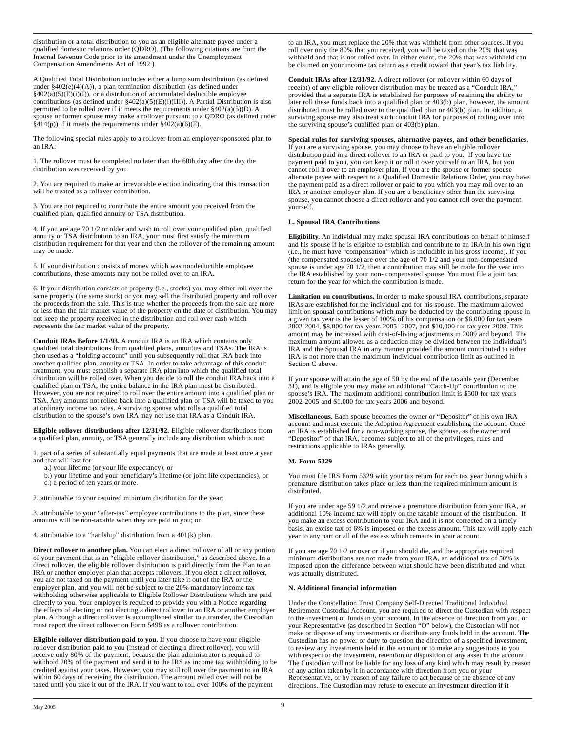distribution or a total distribution to you as an eligible alternate payee under a qualified domestic relations order (QDRO). (The following citations are from the Internal Revenue Code prior to its amendment under the Unemployment Compensation Amendments Act of 1992.)

A Qualified Total Distribution includes either a lump sum distribution (as defined under §402(e)(4)(A)), a plan termination distribution (as defined under  $§402(a)(5)(E)(i)(I))$ , or a distribution of accumulated deductible employee contributions (as defined under  $\frac{402(a)(5)(E)(i)(III)}{I}$ ). A Partial Distribution is also permitted to be rolled over if it meets the requirements under  $\frac{2402(a)(5)(D)}{A}$ . spouse or former spouse may make a rollover pursuant to a QDRO (as defined under  $\hat{\mathcal{S}}(414(p))$  if it meets the requirements under  $\hat{\mathcal{S}}(402(a)(6)(F))$ .

The following special rules apply to a rollover from an employer-sponsored plan to an IRA:

1. The rollover must be completed no later than the 60th day after the day the distribution was received by you.

2. You are required to make an irrevocable election indicating that this transaction will be treated as a rollover contribution.

3. You are not required to contribute the entire amount you received from the qualified plan, qualified annuity or TSA distribution.

4. If you are age 70 1/2 or older and wish to roll over your qualified plan, qualified annuity or TSA distribution to an IRA, your must first satisfy the minimum distribution requirement for that year and then the rollover of the remaining amount may be made.

5. If your distribution consists of money which was nondeductible employee contributions, these amounts may not be rolled over to an IRA.

6. If your distribution consists of property (i.e., stocks) you may either roll over the same property (the same stock) or you may sell the distributed property and roll over the proceeds from the sale. This is true whether the proceeds from the sale are more or less than the fair market value of the property on the date of distribution. You may not keep the property received in the distribution and roll over cash which represents the fair market value of the property.

**Conduit IRAs Before 1/1/93.** A conduit IRA is an IRA which contains only qualified total distributions from qualified plans, annuities and TSAs. The IRA is then used as a "holding account" until you subsequently roll that IRA back into another qualified plan, annuity or TSA. In order to take advantage of this conduit treatment, you must establish a separate IRA plan into which the qualified total distribution will be rolled over. When you decide to roll the conduit IRA back into a qualified plan or TSA, the entire balance in the IRA plan must be distributed. However, you are not required to roll over the entire amount into a qualified plan or TSA. Any amounts not rolled back into a qualified plan or TSA will be taxed to you at ordinary income tax rates. A surviving spouse who rolls a qualified total distribution to the spouse's own IRA may not use that IRA as a Conduit IRA.

**Eligible rollover distributions after 12/31/92.** Eligible rollover distributions from a qualified plan, annuity, or TSA generally include any distribution which is not:

1. part of a series of substantially equal payments that are made at least once a year and that will last for:

a.) your lifetime (or your life expectancy), or

b.) your lifetime and your beneficiary's lifetime (or joint life expectancies), or

c.) a period of ten years or more.

2. attributable to your required minimum distribution for the year;

3. attributable to your "after-tax" employee contributions to the plan, since these amounts will be non-taxable when they are paid to you; or

4. attributable to a "hardship" distribution from a 401(k) plan.

**Direct rollover to another plan.** You can elect a direct rollover of all or any portion of your payment that is an "eligible rollover distribution," as described above. In a direct rollover, the eligible rollover distribution is paid directly from the Plan to an IRA or another employer plan that accepts rollovers. If you elect a direct rollover, you are not taxed on the payment until you later take it out of the IRA or the employer plan, and you will not be subject to the 20% mandatory income tax withholding otherwise applicable to Eligible Rollover Distributions which are paid directly to you. Your employer is required to provide you with a Notice regarding the effects of electing or not electing a direct rollover to an IRA or another employer plan. Although a direct rollover is accomplished similar to a transfer, the Custodian must report the direct rollover on Form 5498 as a rollover contribution.

**Eligible rollover distribution paid to you.** If you choose to have your eligible rollover distribution paid to you (instead of electing a direct rollover), you will receive only 80% of the payment, because the plan administrator is required to withhold 20% of the payment and send it to the IRS as income tax withholding to be credited against your taxes. However, you may still roll over the payment to an IRA within 60 days of receiving the distribution. The amount rolled over will not be taxed until you take it out of the IRA. If you want to roll over 100% of the payment

to an IRA, you must replace the 20% that was withheld from other sources. If you roll over only the 80% that you received, you will be taxed on the 20% that was withheld and that is not rolled over. In either event, the 20% that was withheld can be claimed on your income tax return as a credit toward that year's tax liability.

**Conduit IRAs after 12/31/92.** A direct rollover (or rollover within 60 days of receipt) of any eligible rollover distribution may be treated as a "Conduit IRA," provided that a separate IRA is established for purposes of retaining the ability to later roll these funds back into a qualified plan or  $403(b)$  plan, however, the amount distributed must be rolled over to the qualified plan or 403(b) plan. In addition, a surviving spouse may also treat such conduit IRA for purposes of rolling over into the surviving spouse's qualified plan or 403(b) plan.

**Special rules for surviving spouses, alternative payees, and other beneficiaries.** If you are a surviving spouse, you may choose to have an eligible rollover distribution paid in a direct rollover to an IRA or paid to you. If you have the payment paid to you, you can keep it or roll it over yourself to an IRA, but you cannot roll it over to an employer plan. If you are the spouse or former spouse alternate payee with respect to a Qualified Domestic Relations Order, you may have the payment paid as a direct rollover or paid to you which you may roll over to an IRA or another employer plan. If you are a beneficiary other than the surviving spouse, you cannot choose a direct rollover and you cannot roll over the payment yourself.

## **L. Spousal IRA Contributions**

**Eligibility.** An individual may make spousal IRA contributions on behalf of himself and his spouse if he is eligible to establish and contribute to an IRA in his own right (i.e., he must have "compensation" which is includible in his gross income). If you (the compensated spouse) are over the age of 70 1/2 and your non-compensated spouse is under age 70 1/2, then a contribution may still be made for the year into the IRA established by your non- compensated spouse. You must file a joint tax return for the year for which the contribution is made.

**Limitation on contributions.** In order to make spousal IRA contributions, separate IRAs are established for the individual and for his spouse. The maximum allowed limit on spousal contributions which may be deducted by the contributing spouse in a given tax year is the lesser of 100% of his compensation or \$6,000 for tax years 2002-2004, \$8,000 for tax years 2005- 2007, and \$10,000 for tax year 2008. This amount may be increased with cost-of-living adjustments in 2009 and beyond. The maximum amount allowed as a deduction may be divided between the individual's IRA and the Spousal IRA in any manner provided the amount contributed to either IRA is not more than the maximum individual contribution limit as outlined in Section C above.

If your spouse will attain the age of 50 by the end of the taxable year (December 31), and is eligible you may make an additional "Catch-Up" contribution to the spouse's IRA. The maximum additional contribution limit is \$500 for tax years 2002-2005 and \$1,000 for tax years 2006 and beyond.

**Miscellaneous.** Each spouse becomes the owner or "Depositor" of his own IRA account and must execute the Adoption Agreement establishing the account. Once an IRA is established for a non-working spouse, the spouse, as the owner and "Depositor" of that IRA, becomes subject to all of the privileges, rules and restrictions applicable to IRAs generally.

## **M. Form 5329**

You must file IRS Form 5329 with your tax return for each tax year during which a premature distribution takes place or less than the required minimum amount is distributed.

If you are under age 59 1/2 and receive a premature distribution from your IRA, an additional 10% income tax will apply on the taxable amount of the distribution. If you make an excess contribution to your IRA and it is not corrected on a timely basis, an excise tax of 6% is imposed on the excess amount. This tax will apply each year to any part or all of the excess which remains in your account.

If you are age 70 1/2 or over or if you should die, and the appropriate required minimum distributions are not made from your IRA, an additional tax of 50% is imposed upon the difference between what should have been distributed and what was actually distributed.

## **N. Additional financial information**

Under the Constellation Trust Company Self-Directed Traditional Individual Retirement Custodial Account, you are required to direct the Custodian with respect to the investment of funds in your account. In the absence of direction from you, or your Representative (as described in Section "O" below), the Custodian will not make or dispose of any investments or distribute any funds held in the account. The Custodian has no power or duty to question the direction of a specified investment, to review any investments held in the account or to make any suggestions to you with respect to the investment, retention or disposition of any asset in the account. The Custodian will not be liable for any loss of any kind which may result by reason of any action taken by it in accordance with direction from you or your Representative, or by reason of any failure to act because of the absence of any directions. The Custodian may refuse to execute an investment direction if it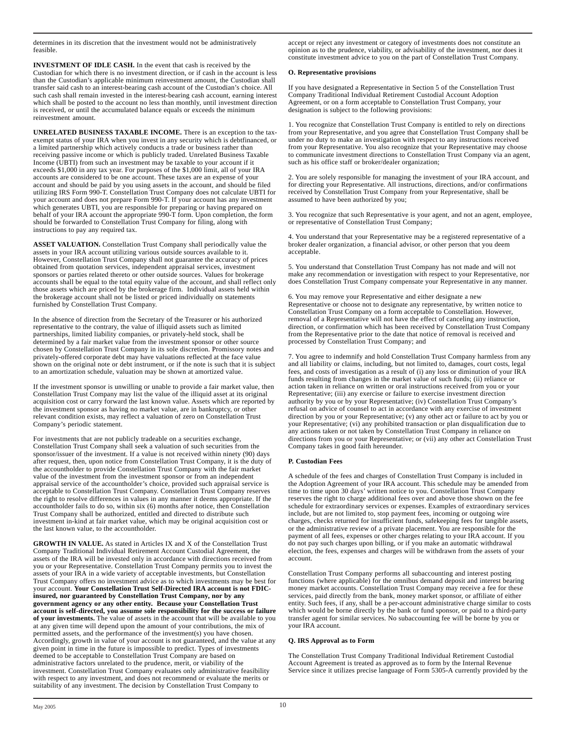determines in its discretion that the investment would not be administratively feasible.

**INVESTMENT OF IDLE CASH.** In the event that cash is received by the Custodian for which there is no investment direction, or if cash in the account is less than the Custodian's applicable minimum reinvestment amount, the Custodian shall transfer said cash to an interest-bearing cash account of the Custodian's choice. All such cash shall remain invested in the interest-bearing cash account, earning interest which shall be posted to the account no less than monthly, until investment direction is received, or until the accumulated balance equals or exceeds the minimum reinvestment amount.

**UNRELATED BUSINESS TAXABLE INCOME.** There is an exception to the taxexempt status of your IRA when you invest in any security which is debtfinanced, or a limited partnership which actively conducts a trade or business rather than receiving passive income or which is publicly traded. Unrelated Business Taxable Income (UBTI) from such an investment may be taxable to your account if it exceeds \$1,000 in any tax year. For purposes of the \$1,000 limit, all of your IRA accounts are considered to be one account. These taxes are an expense of your account and should be paid by you using assets in the account, and should be filed utilizing IRS Form 990-T. Constellation Trust Company does not calculate UBTI for your account and does not prepare Form 990-T. If your account has any investment which generates UBTI, you are responsible for preparing or having prepared on behalf of your IRA account the appropriate 990-T form. Upon completion, the form should be forwarded to Constellation Trust Company for filing, along with instructions to pay any required tax.

**ASSET VALUATION.** Constellation Trust Company shall periodically value the assets in your IRA account utilizing various outside sources available to it. However, Constellation Trust Company shall not guarantee the accuracy of prices obtained from quotation services, independent appraisal services, investment sponsors or parties related thereto or other outside sources. Values for brokerage accounts shall be equal to the total equity value of the account, and shall reflect only those assets which are priced by the brokerage firm. Individual assets held within the brokerage account shall not be listed or priced individually on statements furnished by Constellation Trust Company.

In the absence of direction from the Secretary of the Treasurer or his authorized representative to the contrary, the value of illiquid assets such as limited partnerships, limited liability companies, or privately-held stock, shall be determined by a fair market value from the investment sponsor or other source chosen by Constellation Trust Company in its sole discretion. Promissory notes and privately-offered corporate debt may have valuations reflected at the face value shown on the original note or debt instrument, or if the note is such that it is subject to an amortization schedule, valuation may be shown at amortized value.

If the investment sponsor is unwilling or unable to provide a fair market value, then Constellation Trust Company may list the value of the illiquid asset at its original acquisition cost or carry forward the last known value. Assets which are reported by the investment sponsor as having no market value, are in bankruptcy, or other relevant condition exists, may reflect a valuation of zero on Constellation Trust Company's periodic statement.

For investments that are not publicly tradeable on a securities exchange, Constellation Trust Company shall seek a valuation of such securities from the sponsor/issuer of the investment. If a value is not received within ninety (90) days after request, then, upon notice from Constellation Trust Company, it is the duty of the accountholder to provide Constellation Trust Company with the fair market value of the investment from the investment sponsor or from an independent appraisal service of the accountholder's choice, provided such appraisal service is acceptable to Constellation Trust Company. Constellation Trust Company reserves the right to resolve differences in values in any manner it deems appropriate. If the accountholder fails to do so, within six (6) months after notice, then Constellation Trust Company shall be authorized, entitled and directed to distribute such investment in-kind at fair market value, which may be original acquisition cost or the last known value, to the accountholder.

**GROWTH IN VALUE.** As stated in Articles IX and X of the Constellation Trust Company Traditional Individual Retirement Account Custodial Agreement, the assets of the IRA will be invested only in accordance with directions received from you or your Representative. Constellation Trust Company permits you to invest the assets of your IRA in a wide variety of acceptable investments, but Constellation Trust Company offers no investment advice as to which investments may be best for your account. **Your Constellation Trust Self-Directed IRA account is not FDICinsured, nor guaranteed by Constellation Trust Company, nor by any government agency or any other entity. Because your Constellation Trust account is self-directed, you assume sole responsibility for the success or failure of your investments.** The value of assets in the account that will be available to you at any given time will depend upon the amount of your contributions, the mix of permitted assets, and the performance of the investment(s) you have chosen. Accordingly, growth in value of your account is not guaranteed, and the value at any given point in time in the future is impossible to predict. Types of investments deemed to be acceptable to Constellation Trust Company are based on administrative factors unrelated to the prudence, merit, or viability of the investment. Constellation Trust Company evaluates only administrative feasibility with respect to any investment, and does not recommend or evaluate the merits or suitability of any investment. The decision by Constellation Trust Company to

accept or reject any investment or category of investments does not constitute an opinion as to the prudence, viability, or advisability of the investment, nor does it constitute investment advice to you on the part of Constellation Trust Company.

# **O. Representative provisions**

If you have designated a Representative in Section 5 of the Constellation Trust Company Traditional Individual Retirement Custodial Account Adoption Agreement, or on a form acceptable to Constellation Trust Company, your designation is subject to the following provisions:

1. You recognize that Constellation Trust Company is entitled to rely on directions from your Representative, and you agree that Constellation Trust Company shall be under no duty to make an investigation with respect to any instructions received from your Representative. You also recognize that your Representative may choose to communicate investment directions to Constellation Trust Company via an agent, such as his office staff or broker/dealer organization;

2. You are solely responsible for managing the investment of your IRA account, and for directing your Representative. All instructions, directions, and/or confirmations received by Constellation Trust Company from your Representative, shall be assumed to have been authorized by you;

3. You recognize that such Representative is your agent, and not an agent, employee, or representative of Constellation Trust Company;

4. You understand that your Representative may be a registered representative of a broker dealer organization, a financial advisor, or other person that you deem acceptable.

5. You understand that Constellation Trust Company has not made and will not make any recommendation or investigation with respect to your Representative, nor does Constellation Trust Company compensate your Representative in any manner.

6. You may remove your Representative and either designate a new Representative or choose not to designate any representative, by written notice to Constellation Trust Company on a form acceptable to Constellation. However, removal of a Representative will not have the effect of canceling any instruction, direction, or confirmation which has been received by Constellation Trust Company from the Representative prior to the date that notice of removal is received and processed by Constellation Trust Company; and

7. You agree to indemnify and hold Constellation Trust Company harmless from any and all liability or claims, including, but not limited to, damages, court costs, legal fees, and costs of investigation as a result of (i) any loss or diminution of your IRA funds resulting from changes in the market value of such funds; (ii) reliance or action taken in reliance on written or oral instructions received from you or your Representative; (iii) any exercise or failure to exercise investment direction authority by you or by your Representative; (iv) Constellation Trust Company's refusal on advice of counsel to act in accordance with any exercise of investment direction by you or your Representative; (v) any other act or failure to act by you or your Representative; (vi) any prohibited transaction or plan disqualification due to any actions taken or not taken by Constellation Trust Company in reliance on directions from you or your Representative; or (vii) any other act Constellation Trust Company takes in good faith hereunder.

## **P. Custodian Fees**

A schedule of the fees and charges of Constellation Trust Company is included in the Adoption Agreement of your IRA account. This schedule may be amended from time to time upon 30 days' written notice to you. Constellation Trust Company reserves the right to charge additional fees over and above those shown on the fee schedule for extraordinary services or expenses. Examples of extraordinary services include, but are not limited to, stop payment fees, incoming or outgoing wire charges, checks returned for insufficient funds, safekeeping fees for tangible assets, or the administrative review of a private placement. You are responsible for the payment of all fees, expenses or other charges relating to your IRA account. If you do not pay such charges upon billing, or if you make an automatic withdrawal election, the fees, expenses and charges will be withdrawn from the assets of your account.

Constellation Trust Company performs all subaccounting and interest posting functions (where applicable) for the omnibus demand deposit and interest bearing money market accounts. Constellation Trust Company may receive a fee for these services, paid directly from the bank, money market sponsor, or affiliate of either entity. Such fees, if any, shall be a per-account administrative charge similar to costs which would be borne directly by the bank or fund sponsor, or paid to a third-party transfer agent for similar services. No subaccounting fee will be borne by you or your IRA account.

## **Q. IRS Approval as to Form**

The Constellation Trust Company Traditional Individual Retirement Custodial Account Agreement is treated as approved as to form by the Internal Revenue Service since it utilizes precise language of Form 5305-A currently provided by the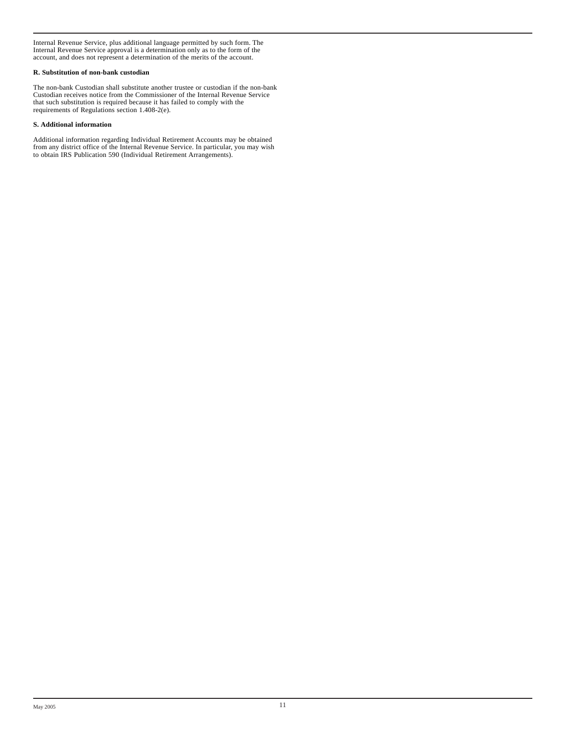Internal Revenue Service, plus additional language permitted by such form. The Internal Revenue Service approval is a determination only as to the form of the account, and does not represent a determination of the merits of the account.

# **R. Substitution of non-bank custodian**

The non-bank Custodian shall substitute another trustee or custodian if the non-bank Custodian receives notice from the Commissioner of the Internal Revenue Service that such substitution is required because it has failed to comply with the requirements of Regulations section 1.408-2(e).

# **S. Additional information**

Additional information regarding Individual Retirement Accounts may be obtained from any district office of the Internal Revenue Service. In particular, you may wish to obtain IRS Publication 590 (Individual Retirement Arrangements).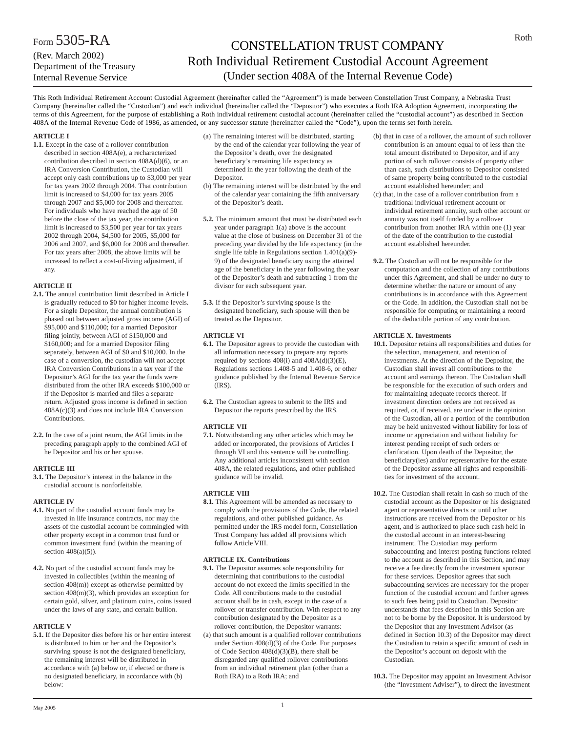# CONSTELLATION TRUST COMPANY Roth Individual Retirement Custodial Account Agreement (Under section 408A of the Internal Revenue Code)

This Roth Individual Retirement Account Custodial Agreement (hereinafter called the "Agreement") is made between Constellation Trust Company, a Nebraska Trust Company (hereinafter called the "Custodian") and each individual (hereinafter called the "Depositor") who executes a Roth IRA Adoption Agreement, incorporating the terms of this Agreement, for the purpose of establishing a Roth individual retirement custodial account (hereinafter called the "custodial account") as described in Section 408A of the Internal Revenue Code of 1986, as amended, or any successor statute (hereinafter called the "Code"), upon the terms set forth herein.

# **ARTICLE I**

**1.1.** Except in the case of a rollover contribution described in section 408A(e), a recharacterized contribution described in section 408A(d)(6), or an IRA Conversion Contribution, the Custodian will accept only cash contributions up to \$3,000 per year for tax years 2002 through 2004. That contribution limit is increased to \$4,000 for tax years 2005 through 2007 and \$5,000 for 2008 and thereafter. For individuals who have reached the age of 50 before the close of the tax year, the contribution limit is increased to \$3,500 per year for tax years 2002 through 2004, \$4,500 for 2005, \$5,000 for 2006 and 2007, and \$6,000 for 2008 and thereafter. For tax years after 2008, the above limits will be increased to reflect a cost-of-living adjustment, if any.

# **ARTICLE II**

- **2.1.** The annual contribution limit described in Article I is gradually reduced to \$0 for higher income levels. For a single Depositor, the annual contribution is phased out between adjusted gross income (AGI) of \$95,000 and \$110,000; for a married Depositor filing jointly, between AGI of \$150,000 and \$160,000; and for a married Depositor filing separately, between AGI of \$0 and \$10,000. In the case of a conversion, the custodian will not accept IRA Conversion Contributions in a tax year if the Depositor's AGI for the tax year the funds were distributed from the other IRA exceeds \$100,000 or if the Depositor is married and files a separate return. Adjusted gross income is defined in section  $408A(c)(3)$  and does not include IRA Conversion Contributions.
- **2.2.** In the case of a joint return, the AGI limits in the preceding paragraph apply to the combined AGI of he Depositor and his or her spouse.

# **ARTICLE III**

**3.1.** The Depositor's interest in the balance in the custodial account is nonforfeitable.

# **ARTICLE IV**

- **4.1.** No part of the custodial account funds may be invested in life insurance contracts, nor may the assets of the custodial account be commingled with other property except in a common trust fund or common investment fund (within the meaning of section  $408(a)(5)$ ).
- **4.2.** No part of the custodial account funds may be invested in collectibles (within the meaning of section 408(m)) except as otherwise permitted by section 408(m)(3), which provides an exception for certain gold, silver, and platinum coins, coins issued under the laws of any state, and certain bullion.

## **ARTICLE V**

**5.1.** If the Depositor dies before his or her entire interest is distributed to him or her and the Depositor's surviving spouse is not the designated beneficiary, the remaining interest will be distributed in accordance with (a) below or, if elected or there is no designated beneficiary, in accordance with (b) below:

- (a) The remaining interest will be distributed, starting by the end of the calendar year following the year of the Depositor's death, over the designated beneficiary's remaining life expectancy as determined in the year following the death of the Depositor.
- (b) The remaining interest will be distributed by the end of the calendar year containing the fifth anniversary of the Depositor's death.
- **5.2.** The minimum amount that must be distributed each year under paragraph 1(a) above is the account value at the close of business on December 31 of the preceding year divided by the life expectancy (in the single life table in Regulations section 1.401(a)(9)- 9) of the designated beneficiary using the attained age of the beneficiary in the year following the year of the Depositor's death and subtracting 1 from the divisor for each subsequent year.
- **5.3.** If the Depositor's surviving spouse is the designated beneficiary, such spouse will then be treated as the Depositor.

## **ARTICLE VI**

- **6.1.** The Depositor agrees to provide the custodian with all information necessary to prepare any reports required by sections  $408(i)$  and  $408A(d)(3)(E)$ , Regulations sections 1.408-5 and 1.408-6, or other guidance published by the Internal Revenue Service  $(IRS)$ .
- **6.2.** The Custodian agrees to submit to the IRS and Depositor the reports prescribed by the IRS.

# **ARTICLE VII**

**7.1.** Notwithstanding any other articles which may be added or incorporated, the provisions of Articles I through VI and this sentence will be controlling. Any additional articles inconsistent with section 408A, the related regulations, and other published guidance will be invalid.

# **ARTICLE VIII**

**8.1.** This Agreement will be amended as necessary to comply with the provisions of the Code, the related regulations, and other published guidance. As permitted under the IRS model form, Constellation Trust Company has added all provisions which follow Article VIII.

## **ARTICLE IX. Contributions**

- **9.1.** The Depositor assumes sole responsibility for determining that contributions to the custodial account do not exceed the limits specified in the Code. All contributions made to the custodial account shall be in cash, except in the case of a rollover or transfer contribution. With respect to any contribution designated by the Depositor as a rollover contribution, the Depositor warrants:
- (a) that such amount is a qualified rollover contributions under Section 408(d)(3) of the Code. For purposes of Code Section 408(d)(3)(B), there shall be disregarded any qualified rollover contributions from an individual retirement plan (other than a Roth IRA) to a Roth IRA; and
- (b) that in case of a rollover, the amount of such rollover contribution is an amount equal to of less than the total amount distributed to Depositor, and if any portion of such rollover consists of property other than cash, such distributions to Depositor consisted of same property being contributed to the custodial account established hereunder; and
- (c) that, in the case of a rollover contribution from a traditional individual retirement account or individual retirement annuity, such other account or annuity was not itself funded by a rollover contribution from another IRA within one (1) year of the date of the contribution to the custodial account established hereunder.
- **9.2.** The Custodian will not be responsible for the computation and the collection of any contributions under this Agreement, and shall be under no duty to determine whether the nature or amount of any contributions is in accordance with this Agreement or the Code. In addition, the Custodian shall not be responsible for computing or maintaining a record of the deductible portion of any contribution.

## **ARTICLE X. Investments**

- **10.1.** Depositor retains all responsibilities and duties for the selection, management, and retention of investments. At the direction of the Depositor, the Custodian shall invest all contributions to the account and earnings thereon. The Custodian shall be responsible for the execution of such orders and for maintaining adequate records thereof. If investment direction orders are not received as required, or, if received, are unclear in the opinion of the Custodian, all or a portion of the contribution may be held uninvested without liability for loss of income or appreciation and without liability for interest pending receipt of such orders or clarification. Upon death of the Depositor, the beneficiary(ies) and/or representative for the estate of the Depositor assume all rights and responsibilities for investment of the account.
- **10.2.** The Custodian shall retain in cash so much of the custodial account as the Depositor or his designated agent or representative directs or until other instructions are received from the Depositor or his agent, and is authorized to place such cash held in the custodial account in an interest-bearing instrument. The Custodian may perform subaccounting and interest posting functions related to the account as described in this Section, and may receive a fee directly from the investment sponsor for these services. Depositor agrees that such subaccounting services are necessary for the proper function of the custodial account and further agrees to such fees being paid to Custodian. Depositor understands that fees described in this Section are not to be borne by the Depositor. It is understood by the Depositor that any Investment Advisor (as defined in Section 10.3) of the Depositor may direct the Custodian to retain a specific amount of cash in the Depositor's account on deposit with the Custodian.
- **10.3.** The Depositor may appoint an Investment Advisor (the "Investment Adviser"), to direct the investment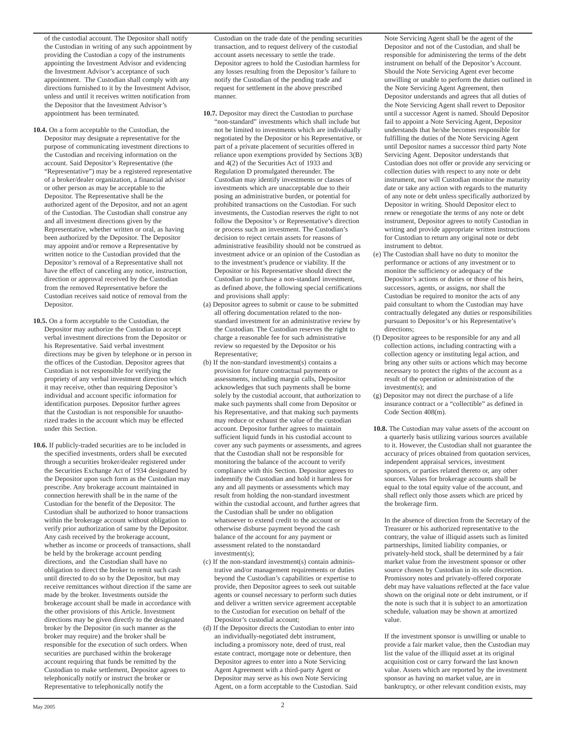of the custodial account. The Depositor shall notify the Custodian in writing of any such appointment by providing the Custodian a copy of the instruments appointing the Investment Advisor and evidencing the Investment Advisor's acceptance of such appointment. The Custodian shall comply with any directions furnished to it by the Investment Advisor, unless and until it receives written notification from the Depositor that the Investment Advisor's appointment has been terminated.

- **10.4.** On a form acceptable to the Custodian, the Depositor may designate a representative for the purpose of communicating investment directions to the Custodian and receiving information on the account. Said Depositor's Representative (the "Representative") may be a registered representative of a broker/dealer organization, a financial advisor or other person as may be acceptable to the Depositor. The Representative shall be the authorized agent of the Depositor, and not an agent of the Custodian. The Custodian shall construe any and all investment directions given by the Representative, whether written or oral, as having been authorized by the Depositor. The Depositor may appoint and/or remove a Representative by written notice to the Custodian provided that the Depositor's removal of a Representative shall not have the effect of canceling any notice, instruction, direction or approval received by the Custodian from the removed Representative before the Custodian receives said notice of removal from the Depositor.
- **10.5.** On a form acceptable to the Custodian, the Depositor may authorize the Custodian to accept verbal investment directions from the Depositor or his Representative. Said verbal investment directions may be given by telephone or in person in the offices of the Custodian. Depositor agrees that Custodian is not responsible for verifying the propriety of any verbal investment direction which it may receive, other than requiring Depositor's individual and account specific information for identification purposes. Depositor further agrees that the Custodian is not responsible for unauthorized trades in the account which may be effected under this Section.
- **10.6.** If publicly-traded securities are to be included in the specified investments, orders shall be executed through a securities broker/dealer registered under the Securities Exchange Act of 1934 designated by the Depositor upon such form as the Custodian may prescribe. Any brokerage account maintained in connection herewith shall be in the name of the Custodian for the benefit of the Depositor. The Custodian shall be authorized to honor transactions within the brokerage account without obligation to verify prior authorization of same by the Depositor. Any cash received by the brokerage account, whether as income or proceeds of transactions, shall be held by the brokerage account pending directions, and the Custodian shall have no obligation to direct the broker to remit such cash until directed to do so by the Depositor, but may receive remittances without direction if the same are made by the broker. Investments outside the brokerage account shall be made in accordance with the other provisions of this Article. Investment directions may be given directly to the designated broker by the Depositor (in such manner as the broker may require) and the broker shall be responsible for the execution of such orders. When securities are purchased within the brokerage account requiring that funds be remitted by the Custodian to make settlement, Depositor agrees to telephonically notify or instruct the broker or Representative to telephonically notify the

Custodian on the trade date of the pending securities transaction, and to request delivery of the custodial account assets necessary to settle the trade. Depositor agrees to hold the Custodian harmless for any losses resulting from the Depositor's failure to notify the Custodian of the pending trade and request for settlement in the above prescribed manner.

- **10.7.** Depositor may direct the Custodian to purchase "non-standard" investments which shall include but not be limited to investments which are individually negotiated by the Depositor or his Representative, or part of a private placement of securities offered in reliance upon exemptions provided by Sections 3(B) and 4(2) of the Securities Act of 1933 and Regulation D promulgated thereunder. The Custodian may identify investments or classes of investments which are unacceptable due to their posing an administrative burden, or potential for prohibited transactions on the Custodian. For such investments, the Custodian reserves the right to not follow the Depositor's or Representative's direction or process such an investment. The Custodian's decision to reject certain assets for reasons of administrative feasibility should not be construed as investment advice or an opinion of the Custodian as to the investment's prudence or viability. If the Depositor or his Representative should direct the Custodian to purchase a non-standard investment, as defined above, the following special certifications and provisions shall apply:
- (a) Depositor agrees to submit or cause to be submitted all offering documentation related to the nonstandard investment for an administrative review by the Custodian. The Custodian reserves the right to charge a reasonable fee for such administrative review so requested by the Depositor or his Representative;
- (b) If the non-standard investment(s) contains a provision for future contractual payments or assessments, including margin calls, Depositor acknowledges that such payments shall be borne solely by the custodial account, that authorization to make such payments shall come from Depositor or his Representative, and that making such payments may reduce or exhaust the value of the custodian account. Depositor further agrees to maintain sufficient liquid funds in his custodial account to cover any such payments or assessments, and agrees that the Custodian shall not be responsible for monitoring the balance of the account to verify compliance with this Section. Depositor agrees to indemnify the Custodian and hold it harmless for any and all payments or assessments which may result from holding the non-standard investment within the custodial account, and further agrees that the Custodian shall be under no obligation whatsoever to extend credit to the account or otherwise disburse payment beyond the cash balance of the account for any payment or assessment related to the nonstandard investment(s);
- (c) If the non-standard investment(s) contain administrative and/or management requirements or duties beyond the Custodian's capabilities or expertise to provide, then Depositor agrees to seek out suitable agents or counsel necessary to perform such duties and deliver a written service agreement acceptable to the Custodian for execution on behalf of the Depositor's custodial account;
- (d) If the Depositor directs the Custodian to enter into an individually-negotiated debt instrument, including a promissory note, deed of trust, real estate contract, mortgage note or debenture, then Depositor agrees to enter into a Note Servicing Agent Agreement with a third-party Agent or Depositor may serve as his own Note Servicing Agent, on a form acceptable to the Custodian. Said

Note Servicing Agent shall be the agent of the Depositor and not of the Custodian, and shall be responsible for administering the terms of the debt instrument on behalf of the Depositor's Account. Should the Note Servicing Agent ever become unwilling or unable to perform the duties outlined in the Note Servicing Agent Agreement, then Depositor understands and agrees that all duties of the Note Servicing Agent shall revert to Depositor until a successor Agent is named. Should Depositor fail to appoint a Note Servicing Agent, Depositor understands that he/she becomes responsible for fulfilling the duties of the Note Servicing Agent until Depositor names a successor third party Note Servicing Agent. Depositor understands that Custodian does not offer or provide any servicing or collection duties with respect to any note or debt instrument, nor will Custodian monitor the maturity date or take any action with regards to the maturity of any note or debt unless specifically authorized by Depositor in writing. Should Depositor elect to renew or renegotiate the terms of any note or debt instrument, Depositor agrees to notify Custodian in writing and provide appropriate written instructions for Custodian to return any original note or debt instrument to debtor.

- (e) The Custodian shall have no duty to monitor the performance or actions of any investment or to monitor the sufficiency or adequacy of the Depositor's actions or duties or those of his heirs, successors, agents, or assigns, nor shall the Custodian be required to monitor the acts of any paid consultant to whom the Custodian may have contractually delegated any duties or responsibilities pursuant to Depositor's or his Representative's directions;
- (f) Depositor agrees to be responsible for any and all collection actions, including contracting with a collection agency or instituting legal action, and bring any other suits or actions which may become necessary to protect the rights of the account as a result of the operation or administration of the investment(s); and
- (g) Depositor may not direct the purchase of a life insurance contract or a "collectible" as defined in Code Section 408(m).
- **10.8.** The Custodian may value assets of the account on a quarterly basis utilizing various sources available to it. However, the Custodian shall not guarantee the accuracy of prices obtained from quotation services, independent appraisal services, investment sponsors, or parties related thereto or, any other sources. Values for brokerage accounts shall be equal to the total equity value of the account, and shall reflect only those assets which are priced by the brokerage firm.

In the absence of direction from the Secretary of the Treasurer or his authorized representative to the contrary, the value of illiquid assets such as limited partnerships, limited liability companies, or privately-held stock, shall be determined by a fair market value from the investment sponsor or other source chosen by Custodian in its sole discretion. Promissory notes and privately-offered corporate debt may have valuations reflected at the face value shown on the original note or debt instrument, or if the note is such that it is subject to an amortization schedule, valuation may be shown at amortized value.

If the investment sponsor is unwilling or unable to provide a fair market value, then the Custodian may list the value of the illiquid asset at its original acquisition cost or carry forward the last known value. Assets which are reported by the investment sponsor as having no market value, are in bankruptcy, or other relevant condition exists, may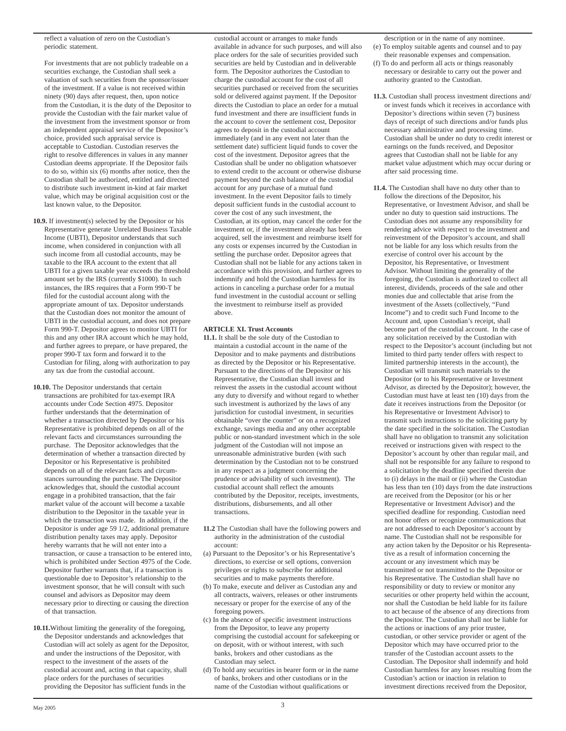reflect a valuation of zero on the Custodian's periodic statement.

For investments that are not publicly tradeable on a securities exchange, the Custodian shall seek a valuation of such securities from the sponsor/issuer of the investment. If a value is not received within ninety (90) days after request, then, upon notice from the Custodian, it is the duty of the Depositor to provide the Custodian with the fair market value of the investment from the investment sponsor or from an independent appraisal service of the Depositor's choice, provided such appraisal service is acceptable to Custodian. Custodian reserves the right to resolve differences in values in any manner Custodian deems appropriate. If the Depositor fails to do so, within six (6) months after notice, then the Custodian shall be authorized, entitled and directed to distribute such investment in-kind at fair market value, which may be original acquisition cost or the last known value, to the Depositor.

- **10.9.** If investment(s) selected by the Depositor or his Representative generate Unrelated Business Taxable Income (UBTI), Depositor understands that such income, when considered in conjunction with all such income from all custodial accounts, may be taxable to the IRA account to the extent that all UBTI for a given taxable year exceeds the threshold amount set by the IRS (currently \$1000). In such instances, the IRS requires that a Form 990-T be filed for the custodial account along with the appropriate amount of tax. Depositor understands that the Custodian does not monitor the amount of UBTI in the custodial account, and does not prepare Form 990-T. Depositor agrees to monitor UBTI for this and any other IRA account which he may hold, and further agrees to prepare, or have prepared, the proper 990-T tax form and forward it to the Custodian for filing, along with authorization to pay any tax due from the custodial account.
- **10.10.** The Depositor understands that certain transactions are prohibited for tax-exempt IRA accounts under Code Section 4975. Depositor further understands that the determination of whether a transaction directed by Depositor or his Representative is prohibited depends on all of the relevant facts and circumstances surrounding the purchase. The Depositor acknowledges that the determination of whether a transaction directed by Depositor or his Representative is prohibited depends on all of the relevant facts and circumstances surrounding the purchase. The Depositor acknowledges that, should the custodial account engage in a prohibited transaction, that the fair market value of the account will become a taxable distribution to the Depositor in the taxable year in which the transaction was made. In addition, if the Depositor is under age 59 1/2, additional premature distribution penalty taxes may apply. Depositor hereby warrants that he will not enter into a transaction, or cause a transaction to be entered into, which is prohibited under Section 4975 of the Code. Depositor further warrants that, if a transaction is questionable due to Depositor's relationship to the investment sponsor, that he will consult with such counsel and advisors as Depositor may deem necessary prior to directing or causing the direction of that transaction.
- **10.11.**Without limiting the generality of the foregoing, the Depositor understands and acknowledges that Custodian will act solely as agent for the Depositor, and under the instructions of the Depositor, with respect to the investment of the assets of the custodial account and, acting in that capacity, shall place orders for the purchases of securities providing the Depositor has sufficient funds in the

custodial account or arranges to make funds available in advance for such purposes, and will also place orders for the sale of securities provided such securities are held by Custodian and in deliverable form. The Depositor authorizes the Custodian to charge the custodial account for the cost of all securities purchased or received from the securities sold or delivered against payment. If the Depositor directs the Custodian to place an order for a mutual fund investment and there are insufficient funds in the account to cover the settlement cost, Depositor agrees to deposit in the custodial account immediately (and in any event not later than the settlement date) sufficient liquid funds to cover the cost of the investment. Depositor agrees that the Custodian shall be under no obligation whatsoever to extend credit to the account or otherwise disburse payment beyond the cash balance of the custodial account for any purchase of a mutual fund investment. In the event Depositor fails to timely deposit sufficient funds in the custodial account to cover the cost of any such investment, the Custodian, at its option, may cancel the order for the investment or, if the investment already has been acquired, sell the investment and reimburse itself for any costs or expenses incurred by the Custodian in settling the purchase order. Depositor agrees that Custodian shall not be liable for any actions taken in accordance with this provision, and further agrees to indemnify and hold the Custodian harmless for its actions in canceling a purchase order for a mutual fund investment in the custodial account or selling the investment to reimburse itself as provided above.

# **ARTICLE XI. Trust Accounts**

- **11.1.** It shall be the sole duty of the Custodian to maintain a custodial account in the name of the Depositor and to make payments and distributions as directed by the Depositor or his Representative. Pursuant to the directions of the Depositor or his Representative, the Custodian shall invest and reinvest the assets in the custodial account without any duty to diversify and without regard to whether such investment is authorized by the laws of any jurisdiction for custodial investment, in securities obtainable "over the counter" or on a recognized exchange, savings media and any other acceptable public or non-standard investment which in the sole judgment of the Custodian will not impose an unreasonable administrative burden (with such determination by the Custodian not to be construed in any respect as a judgment concerning the prudence or advisability of such investment). The custodial account shall reflect the amounts contributed by the Depositor, receipts, investments, distributions, disbursements, and all other transactions.
- **11.2** The Custodian shall have the following powers and authority in the administration of the custodial account:
- (a) Pursuant to the Depositor's or his Representative's directions, to exercise or sell options, conversion privileges or rights to subscribe for additional securities and to make payments therefore.
- (b) To make, execute and deliver as Custodian any and all contracts, waivers, releases or other instruments necessary or proper for the exercise of any of the foregoing powers.
- (c) In the absence of specific investment instructions from the Depositor, to leave any property comprising the custodial account for safekeeping or on deposit, with or without interest, with such banks, brokers and other custodians as the Custodian may select.
- (d) To hold any securities in bearer form or in the name of banks, brokers and other custodians or in the name of the Custodian without qualifications or

description or in the name of any nominee.

- (e) To employ suitable agents and counsel and to pay their reasonable expenses and compensation.
- (f) To do and perform all acts or things reasonably necessary or desirable to carry out the power and authority granted to the Custodian.
- **11.3.** Custodian shall process investment directions and/ or invest funds which it receives in accordance with Depositor's directions within seven (7) business days of receipt of such directions and/or funds plus necessary administrative and processing time. Custodian shall be under no duty to credit interest or earnings on the funds received, and Depositor agrees that Custodian shall not be liable for any market value adjustment which may occur during or after said processing time.
- **11.4.** The Custodian shall have no duty other than to follow the directions of the Depositor, his Representative, or Investment Advisor, and shall be under no duty to question said instructions. The Custodian does not assume any responsibility for rendering advice with respect to the investment and reinvestment of the Depositor's account, and shall not be liable for any loss which results from the exercise of control over his account by the Depositor, his Representative, or Investment Advisor. Without limiting the generality of the foregoing, the Custodian is authorized to collect all interest, dividends, proceeds of the sale and other monies due and collectable that arise from the investment of the Assets (collectively, "Fund Income") and to credit such Fund Income to the Account and, upon Custodian's receipt, shall become part of the custodial account. In the case of any solicitation received by the Custodian with respect to the Depositor's account (including but not limited to third party tender offers with respect to limited partnership interests in the account), the Custodian will transmit such materials to the Depositor (or to his Representative or Investment Advisor, as directed by the Depositor); however, the Custodian must have at least ten (10) days from the date it receives instructions from the Depositor (or his Representative or Investment Advisor) to transmit such instructions to the soliciting party by the date specified in the solicitation. The Custodian shall have no obligation to transmit any solicitation received or instructions given with respect to the Depositor's account by other than regular mail, and shall not be responsible for any failure to respond to a solicitation by the deadline specified therein due to (i) delays in the mail or (ii) where the Custodian has less than ten (10) days from the date instructions are received from the Depositor (or his or her Representative or Investment Advisor) and the specified deadline for responding. Custodian need not honor offers or recognize communications that are not addressed to each Depositor's account by name. The Custodian shall not be responsible for any action taken by the Depositor or his Representative as a result of information concerning the account or any investment which may be transmitted or not transmitted to the Depositor or his Representative. The Custodian shall have no responsibility or duty to review or monitor any securities or other property held within the account, nor shall the Custodian be held liable for its failure to act because of the absence of any directions from the Depositor. The Custodian shall not be liable for the actions or inactions of any prior trustee, custodian, or other service provider or agent of the Depositor which may have occurred prior to the transfer of the Custodian account assets to the Custodian. The Depositor shall indemnify and hold Custodian harmless for any losses resulting from the Custodian's action or inaction in relation to investment directions received from the Depositor,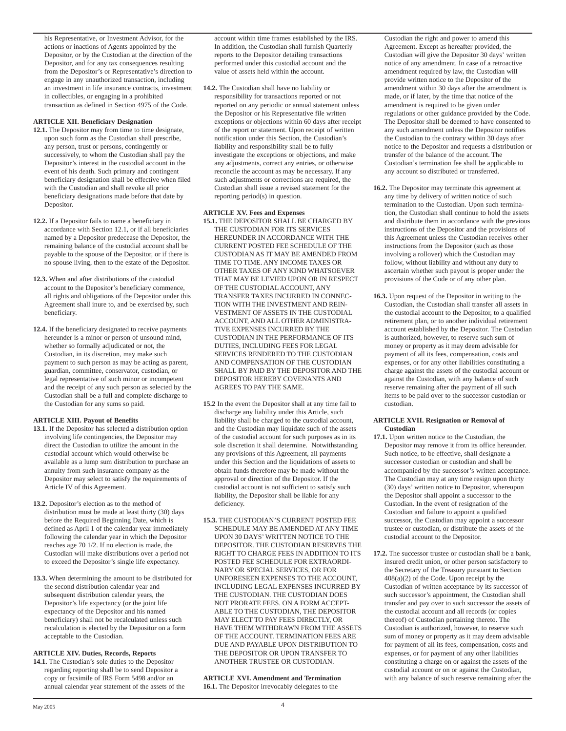his Representative, or Investment Advisor, for the actions or inactions of Agents appointed by the Depositor, or by the Custodian at the direction of the Depositor, and for any tax consequences resulting from the Depositor's or Representative's direction to engage in any unauthorized transaction, including an investment in life insurance contracts, investment in collectibles, or engaging in a prohibited transaction as defined in Section 4975 of the Code.

# **ARTICLE XII. Beneficiary Designation**

- **12.1.** The Depositor may from time to time designate, upon such form as the Custodian shall prescribe, any person, trust or persons, contingently or successively, to whom the Custodian shall pay the Depositor's interest in the custodial account in the event of his death. Such primary and contingent beneficiary designation shall be effective when filed with the Custodian and shall revoke all prior beneficiary designations made before that date by Depositor.
- **12.2.** If a Depositor fails to name a beneficiary in accordance with Section 12.1, or if all beneficiaries named by a Depositor predecease the Depositor, the remaining balance of the custodial account shall be payable to the spouse of the Depositor, or if there is no spouse living, then to the estate of the Depositor.
- **12.3.** When and after distributions of the custodial account to the Depositor's beneficiary commence, all rights and obligations of the Depositor under this Agreement shall inure to, and be exercised by, such beneficiary.
- **12.4.** If the beneficiary designated to receive payments hereunder is a minor or person of unsound mind, whether so formally adjudicated or not, the Custodian, in its discretion, may make such payment to such person as may be acting as parent, guardian, committee, conservator, custodian, or legal representative of such minor or incompetent and the receipt of any such person as selected by the Custodian shall be a full and complete discharge to the Custodian for any sums so paid.

## **ARTICLE XIII. Payout of Benefits**

- **13.1.** If the Depositor has selected a distribution option involving life contingencies, the Depositor may direct the Custodian to utilize the amount in the custodial account which would otherwise be available as a lump sum distribution to purchase an annuity from such insurance company as the Depositor may select to satisfy the requirements of Article IV of this Agreement.
- **13.2.** Depositor's election as to the method of distribution must be made at least thirty (30) days before the Required Beginning Date, which is defined as April 1 of the calendar year immediately following the calendar year in which the Depositor reaches age 70 1/2. If no election is made, the Custodian will make distributions over a period not to exceed the Depositor's single life expectancy.
- **13.3.** When determining the amount to be distributed for the second distribution calendar year and subsequent distribution calendar years, the Depositor's life expectancy (or the joint life expectancy of the Depositor and his named beneficiary) shall not be recalculated unless such recalculation is elected by the Depositor on a form acceptable to the Custodian.

# **ARTICLE XIV. Duties, Records, Reports**

**14.1.** The Custodian's sole duties to the Depositor regarding reporting shall be to send Depositor a copy or facsimile of IRS Form 5498 and/or an annual calendar year statement of the assets of the account within time frames established by the IRS. In addition, the Custodian shall furnish Quarterly reports to the Depositor detailing transactions performed under this custodial account and the value of assets held within the account.

**14.2.** The Custodian shall have no liability or responsibility for transactions reported or not reported on any periodic or annual statement unless the Depositor or his Representative file written exceptions or objections within 60 days after receipt of the report or statement. Upon receipt of written notification under this Section, the Custodian's liability and responsibility shall be to fully investigate the exceptions or objections, and make any adjustments, correct any entries, or otherwise reconcile the account as may be necessary. If any such adjustments or corrections are required, the Custodian shall issue a revised statement for the reporting period(s) in question.

# **ARTICLE XV. Fees and Expenses**

- **15.1.** THE DEPOSITOR SHALL BE CHARGED BY THE CUSTODIAN FOR ITS SERVICES HEREUNDER IN ACCORDANCE WITH THE CURRENT POSTED FEE SCHEDULE OF THE CUSTODIAN AS IT MAY BE AMENDED FROM TIME TO TIME. ANY INCOME TAXES OR OTHER TAXES OF ANY KIND WHATSOEVER THAT MAY BE LEVIED UPON OR IN RESPECT OF THE CUSTODIAL ACCOUNT, ANY TRANSFER TAXES INCURRED IN CONNEC-TION WITH THE INVESTMENT AND REIN-VESTMENT OF ASSETS IN THE CUSTODIAL ACCOUNT, AND ALL OTHER ADMINISTRA-TIVE EXPENSES INCURRED BY THE CUSTODIAN IN THE PERFORMANCE OF ITS DUTIES, INCLUDING FEES FOR LEGAL SERVICES RENDERED TO THE CUSTODIAN AND COMPENSATION OF THE CUSTODIAN SHALL BY PAID BY THE DEPOSITOR AND THE DEPOSITOR HEREBY COVENANTS AND AGREES TO PAY THE SAME.
- **15.2** In the event the Depositor shall at any time fail to discharge any liability under this Article, such liability shall be charged to the custodial account, and the Custodian may liquidate such of the assets of the custodial account for such purposes as in its sole discretion it shall determine. Notwithstanding any provisions of this Agreement, all payments under this Section and the liquidations of assets to obtain funds therefore may be made without the approval or direction of the Depositor. If the custodial account is not sufficient to satisfy such liability, the Depositor shall be liable for any deficiency.
- **15.3.** THE CUSTODIAN'S CURRENT POSTED FEE SCHEDULE MAY BE AMENDED AT ANY TIME UPON 30 DAYS' WRITTEN NOTICE TO THE DEPOSITOR. THE CUSTODIAN RESERVES THE RIGHT TO CHARGE FEES IN ADDITION TO ITS POSTED FEE SCHEDULE FOR EXTRAORDI-NARY OR SPECIAL SERVICES, OR FOR UNFORESEEN EXPENSES TO THE ACCOUNT, INCLUDING LEGAL EXPENSES INCURRED BY THE CUSTODIAN. THE CUSTODIAN DOES NOT PRORATE FEES. ON A FORM ACCEPT-ABLE TO THE CUSTODIAN, THE DEPOSITOR MAY ELECT TO PAY FEES DIRECTLY, OR HAVE THEM WITHDRAWN FROM THE ASSETS OF THE ACCOUNT. TERMINATION FEES ARE DUE AND PAYABLE UPON DISTRIBUTION TO THE DEPOSITOR OR UPON TRANSFER TO ANOTHER TRUSTEE OR CUSTODIAN.

**ARTICLE XVI. Amendment and Termination 16.1.** The Depositor irrevocably delegates to the

Custodian the right and power to amend this Agreement. Except as hereafter provided, the Custodian will give the Depositor 30 days' written notice of any amendment. In case of a retroactive amendment required by law, the Custodian will provide written notice to the Depositor of the amendment within 30 days after the amendment is made, or if later, by the time that notice of the amendment is required to be given under regulations or other guidance provided by the Code. The Depositor shall be deemed to have consented to any such amendment unless the Depositor notifies the Custodian to the contrary within 30 days after notice to the Depositor and requests a distribution or transfer of the balance of the account. The Custodian's termination fee shall be applicable to any account so distributed or transferred.

- **16.2.** The Depositor may terminate this agreement at any time by delivery of written notice of such termination to the Custodian. Upon such termination, the Custodian shall continue to hold the assets and distribute them in accordance with the previous instructions of the Depositor and the provisions of this Agreement unless the Custodian receives other instructions from the Depositor (such as those involving a rollover) which the Custodian may follow, without liability and without any duty to ascertain whether such payout is proper under the provisions of the Code or of any other plan.
- **16.3.** Upon request of the Depositor in writing to the Custodian, the Custodian shall transfer all assets in the custodial account to the Depositor, to a qualified retirement plan, or to another individual retirement account established by the Depositor. The Custodian is authorized, however, to reserve such sum of money or property as it may deem advisable for payment of all its fees, compensation, costs and expenses, or for any other liabilities constituting a charge against the assets of the custodial account or against the Custodian, with any balance of such reserve remaining after the payment of all such items to be paid over to the successor custodian or custodian.

#### **ARTICLE XVII. Resignation or Removal of Custodian**

- **17.1.** Upon written notice to the Custodian, the Depositor may remove it from its office hereunder. Such notice, to be effective, shall designate a successor custodian or custodian and shall be accompanied by the successor's written acceptance. The Custodian may at any time resign upon thirty (30) days' written notice to Depositor, whereupon the Depositor shall appoint a successor to the Custodian. In the event of resignation of the Custodian and failure to appoint a qualified successor, the Custodian may appoint a successor trustee or custodian, or distribute the assets of the custodial account to the Depositor.
- **17.2.** The successor trustee or custodian shall be a bank, insured credit union, or other person satisfactory to the Secretary of the Treasury pursuant to Section 408(a)(2) of the Code. Upon receipt by the Custodian of written acceptance by its successor of such successor's appointment, the Custodian shall transfer and pay over to such successor the assets of the custodial account and all records (or copies thereof) of Custodian pertaining thereto. The Custodian is authorized, however, to reserve such sum of money or property as it may deem advisable for payment of all its fees, compensation, costs and expenses, or for payment of any other liabilities constituting a charge on or against the assets of the custodial account or on or against the Custodian, with any balance of such reserve remaining after the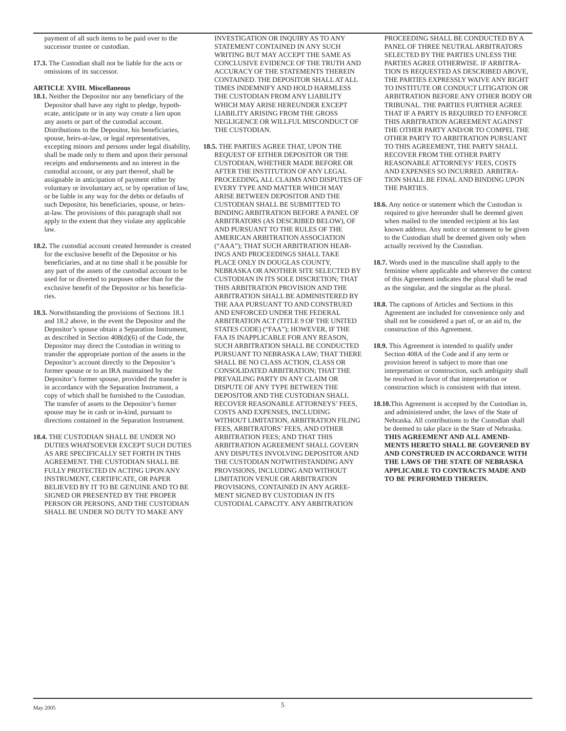payment of all such items to be paid over to the successor trustee or custodian.

**17.3.** The Custodian shall not be liable for the acts or omissions of its successor.

# **ARTICLE XVIII. Miscellaneous**

- **18.1.** Neither the Depositor nor any beneficiary of the Depositor shall have any right to pledge, hypothecate, anticipate or in any way create a lien upon any assets or part of the custodial account. Distributions to the Depositor, his beneficiaries, spouse, heirs-at-law, or legal representatives, excepting minors and persons under legal disability, shall be made only to them and upon their personal receipts and endorsements and no interest in the custodial account, or any part thereof, shall be assignable in anticipation of payment either by voluntary or involuntary act, or by operation of law, or be liable in any way for the debts or defaults of such Depositor, his beneficiaries, spouse, or heirsat-law. The provisions of this paragraph shall not apply to the extent that they violate any applicable law.
- **18.2.** The custodial account created hereunder is created for the exclusive benefit of the Depositor or his beneficiaries, and at no time shall it be possible for any part of the assets of the custodial account to be used for or diverted to purposes other than for the exclusive benefit of the Depositor or his beneficiaries.
- **18.3.** Notwithstanding the provisions of Sections 18.1 and 18.2 above, in the event the Depositor and the Depositor's spouse obtain a Separation Instrument, as described in Section 408(d)(6) of the Code, the Depositor may direct the Custodian in writing to transfer the appropriate portion of the assets in the Depositor's account directly to the Depositor's former spouse or to an IRA maintained by the Depositor's former spouse, provided the transfer is in accordance with the Separation Instrument, a copy of which shall be furnished to the Custodian. The transfer of assets to the Depositor's former spouse may be in cash or in-kind, pursuant to directions contained in the Separation Instrument.
- **18.4.** THE CUSTODIAN SHALL BE UNDER NO DUTIES WHATSOEVER EXCEPT SUCH DUTIES AS ARE SPECIFICALLY SET FORTH IN THIS AGREEMENT. THE CUSTODIAN SHALL BE FULLY PROTECTED IN ACTING UPON ANY INSTRUMENT, CERTIFICATE, OR PAPER BELIEVED BY IT TO BE GENUINE AND TO BE SIGNED OR PRESENTED BY THE PROPER PERSON OR PERSONS, AND THE CUSTODIAN SHALL BE UNDER NO DUTY TO MAKE ANY

INVESTIGATION OR INQUIRY AS TO ANY STATEMENT CONTAINED IN ANY SUCH WRITING BUT MAY ACCEPT THE SAME AS CONCLUSIVE EVIDENCE OF THE TRUTH AND ACCURACY OF THE STATEMENTS THEREIN CONTAINED. THE DEPOSITOR SHALL AT ALL TIMES INDEMNIFY AND HOLD HARMLESS THE CUSTODIAN FROM ANY LIABILITY WHICH MAY ARISE HEREUNDER EXCEPT LIABILITY ARISING FROM THE GROSS NEGLIGENCE OR WILLFUL MISCONDUCT OF THE CUSTODIAN.

**18.5.** THE PARTIES AGREE THAT, UPON THE REQUEST OF EITHER DEPOSITOR OR THE CUSTODIAN, WHETHER MADE BEFORE OR AFTER THE INSTITUTION OF ANY LEGAL PROCEEDING, ALL CLAIMS AND DISPUTES OF EVERY TYPE AND MATTER WHICH MAY ARISE BETWEEN DEPOSITOR AND THE CUSTODIAN SHALL BE SUBMITTED TO BINDING ARBITRATION BEFORE A PANEL OF ARBITRATORS (AS DESCRIBED BELOW), OF AND PURSUANT TO THE RULES OF THE AMERICAN ARBITRATION ASSOCIATION ("AAA"); THAT SUCH ARBITRATION HEAR-INGS AND PROCEEDINGS SHALL TAKE PLACE ONLY IN DOUGLAS COUNTY, NEBRASKA OR ANOTHER SITE SELECTED BY CUSTODIAN IN ITS SOLE DISCRETION; THAT THIS ARBITRATION PROVISION AND THE ARBITRATION SHALL BE ADMINISTERED BY THE AAA PURSUANT TO AND CONSTRUED AND ENFORCED UNDER THE FEDERAL ARBITRATION ACT (TITLE 9 OF THE UNITED STATES CODE) ("FAA"); HOWEVER, IF THE FAA IS INAPPLICABLE FOR ANY REASON, SUCH ARBITRATION SHALL BE CONDUCTED PURSUANT TO NEBRASKA LAW; THAT THERE SHALL BE NO CLASS ACTION, CLASS OR CONSOLIDATED ARBITRATION; THAT THE PREVAILING PARTY IN ANY CLAIM OR DISPUTE OF ANY TYPE BETWEEN THE DEPOSITOR AND THE CUSTODIAN SHALL RECOVER REASONABLE ATTORNEYS' FEES, COSTS AND EXPENSES, INCLUDING WITHOUT LIMITATION, ARBITRATION FILING FEES, ARBITRATORS' FEES, AND OTHER ARBITRATION FEES; AND THAT THIS ARBITRATION AGREEMENT SHALL GOVERN ANY DISPUTES INVOLVING DEPOSITOR AND THE CUSTODIAN NOTWITHSTANDING ANY PROVISIONS, INCLUDING AND WITHOUT LIMITATION VENUE OR ARBITRATION PROVISIONS, CONTAINED IN ANY AGREE-MENT SIGNED BY CUSTODIAN IN ITS CUSTODIAL CAPACITY. ANY ARBITRATION

PROCEEDING SHALL BE CONDUCTED BY A PANEL OF THREE NEUTRAL ARBITRATORS SELECTED BY THE PARTIES UNLESS THE PARTIES AGREE OTHERWISE. IF ARBITRA-TION IS REQUESTED AS DESCRIBED ABOVE, THE PARTIES EXPRESSLY WAIVE ANY RIGHT TO INSTITUTE OR CONDUCT LITIGATION OR ARBITRATION BEFORE ANY OTHER BODY OR TRIBUNAL. THE PARTIES FURTHER AGREE THAT IF A PARTY IS REQUIRED TO ENFORCE THIS ARBITRATION AGREEMENT AGAINST THE OTHER PARTY AND/OR TO COMPEL THE OTHER PARTY TO ARBITRATION PURSUANT TO THIS AGREEMENT, THE PARTY SHALL RECOVER FROM THE OTHER PARTY REASONABLE ATTORNEYS' FEES, COSTS AND EXPENSES SO INCURRED. ARBITRA-TION SHALL BE FINAL AND BINDING UPON THE PARTIES.

- **18.6.** Any notice or statement which the Custodian is required to give hereunder shall be deemed given when mailed to the intended recipient at his last known address. Any notice or statement to be given to the Custodian shall be deemed given only when actually received by the Custodian.
- **18.7.** Words used in the masculine shall apply to the feminine where applicable and wherever the context of this Agreement indicates the plural shall be read as the singular, and the singular as the plural.
- **18.8.** The captions of Articles and Sections in this Agreement are included for convenience only and shall not be considered a part of, or an aid to, the construction of this Agreement.
- **18.9.** This Agreement is intended to qualify under Section 408A of the Code and if any term or provision hereof is subject to more than one interpretation or construction, such ambiguity shall be resolved in favor of that interpretation or construction which is consistent with that intent.
- **18.10.**This Agreement is accepted by the Custodian in, and administered under, the laws of the State of Nebraska. All contributions to the Custodian shall be deemed to take place in the State of Nebraska. **THIS AGREEMENT AND ALL AMEND-MENTS HERETO SHALL BE GOVERNED BY AND CONSTRUED IN ACCORDANCE WITH THE LAWS OF THE STATE OF NEBRASKA APPLICABLE TO CONTRACTS MADE AND TO BE PERFORMED THEREIN.**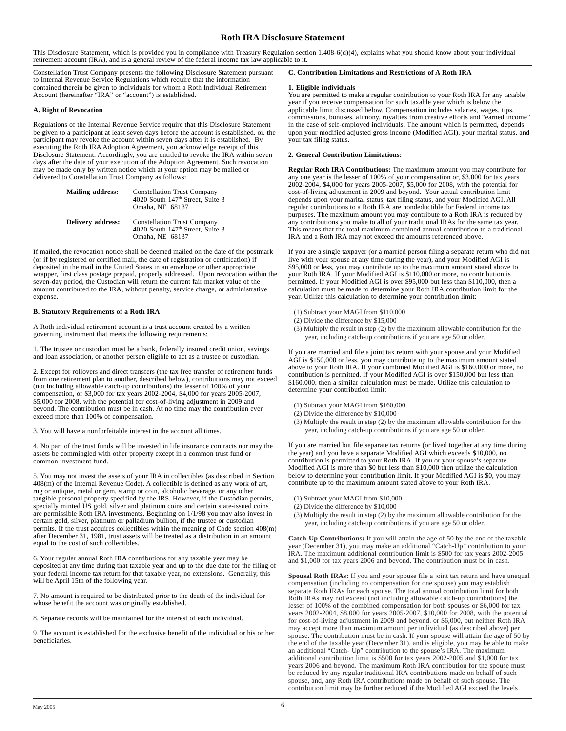# **Roth IRA Disclosure Statement**

This Disclosure Statement, which is provided you in compliance with Treasury Regulation section 1.408-6(d)(4), explains what you should know about your individual retirement account (IRA), and is a general review of the federal income tax law applicable to it.

Constellation Trust Company presents the following Disclosure Statement pursuant to Internal Revenue Service Regulations which require that the information contained therein be given to individuals for whom a Roth Individual Retirement Account (hereinafter "IRA" or "account") is established.

## **A. Right of Revocation**

Regulations of the Internal Revenue Service require that this Disclosure Statement be given to a participant at least seven days before the account is established, or, the participant may revoke the account within seven days after it is established. By executing the Roth IRA Adoption Agreement, you acknowledge receipt of this Disclosure Statement. Accordingly, you are entitled to revoke the IRA within seven days after the date of your execution of the Adoption Agreement. Such revocation may be made only by written notice which at your option may be mailed or delivered to Constellation Trust Company as follows:

| <b>Mailing address:</b> | <b>Constellation Trust Company</b><br>4020 South 147 <sup>th</sup> Street, Suite 3<br>Omaha, NE 68137 |
|-------------------------|-------------------------------------------------------------------------------------------------------|
| Delivery address:       | <b>Constellation Trust Company</b><br>4020 South 147 <sup>th</sup> Street, Suite 3<br>Omaha, NE 68137 |

If mailed, the revocation notice shall be deemed mailed on the date of the postmark (or if by registered or certified mail, the date of registration or certification) if deposited in the mail in the United States in an envelope or other appropriate wrapper, first class postage prepaid, properly addressed. Upon revocation within the seven-day period, the Custodian will return the current fair market value of the amount contributed to the IRA, without penalty, service charge, or administrative expense.

#### **B. Statutory Requirements of a Roth IRA**

A Roth individual retirement account is a trust account created by a written governing instrument that meets the following requirements:

1. The trustee or custodian must be a bank, federally insured credit union, savings and loan association, or another person eligible to act as a trustee or custodian.

2. Except for rollovers and direct transfers (the tax free transfer of retirement funds from one retirement plan to another, described below), contributions may not exceed (not including allowable catch-up contributions) the lesser of 100% of your compensation, or \$3,000 for tax years 2002-2004, \$4,000 for years 2005-2007, \$5,000 for 2008, with the potential for cost-of-living adjustment in 2009 and beyond. The contribution must be in cash. At no time may the contribution ever exceed more than 100% of compensation.

3. You will have a nonforfeitable interest in the account all times.

4. No part of the trust funds will be invested in life insurance contracts nor may the assets be commingled with other property except in a common trust fund or common investment fund.

5. You may not invest the assets of your IRA in collectibles (as described in Section 408(m) of the Internal Revenue Code). A collectible is defined as any work of art, rug or antique, metal or gem, stamp or coin, alcoholic beverage, or any other tangible personal property specified by the IRS. However, if the Custodian permits, specially minted US gold, silver and platinum coins and certain state-issued coins are permissible Roth IRA investments. Beginning on 1/1/98 you may also invest in certain gold, silver, platinum or palladium bullion, if the trustee or custodian permits. If the trust acquires collectibles within the meaning of Code section 408(m) after December 31, 1981, trust assets will be treated as a distribution in an amount equal to the cost of such collectibles.

6. Your regular annual Roth IRA contributions for any taxable year may be deposited at any time during that taxable year and up to the due date for the filing of your federal income tax return for that taxable year, no extensions. Generally, this will be April 15th of the following year.

7. No amount is required to be distributed prior to the death of the individual for whose benefit the account was originally established.

8. Separate records will be maintained for the interest of each individual.

9. The account is established for the exclusive benefit of the individual or his or her beneficiaries.

#### **C. Contribution Limitations and Restrictions of A Roth IRA**

#### **1. Eligible individuals**

You are permitted to make a regular contribution to your Roth IRA for any taxable year if you receive compensation for such taxable year which is below the applicable limit discussed below. Compensation includes salaries, wages, tips, commissions, bonuses, alimony, royalties from creative efforts and "earned income" in the case of self-employed individuals. The amount which is permitted, depends upon your modified adjusted gross income (Modified AGI), your marital status, and your tax filing status.

## **2. General Contribution Limitations:**

**Regular Roth IRA Contributions:** The maximum amount you may contribute for any one year is the lesser of 100% of your compensation or, \$3,000 for tax years 2002-2004, \$4,000 for years 2005-2007, \$5,000 for 2008, with the potential for cost-of-living adjustment in 2009 and beyond. Your actual contribution limit depends upon your marital status, tax filing status, and your Modified AGI. All regular contributions to a Roth IRA are nondeductible for Federal income tax purposes. The maximum amount you may contribute to a Roth IRA is reduced by any contributions you make to all of your traditional IRAs for the same tax year. This means that the total maximum combined annual contribution to a traditional IRA and a Roth IRA may not exceed the amounts referenced above.

If you are a single taxpayer (or a married person filing a separate return who did not live with your spouse at any time during the year), and your Modified AGI is \$95,000 or less, you may contribute up to the maximum amount stated above to your Roth IRA. If your Modified AGI is \$110,000 or more, no contribution is permitted. If your Modified AGI is over \$95,000 but less than \$110,000, then a calculation must be made to determine your Roth IRA contribution limit for the year. Utilize this calculation to determine your contribution limit:

- (1) Subtract your MAGI from \$110,000
- (2) Divide the difference by \$15,000
- (3) Multiply the result in step (2) by the maximum allowable contribution for the year, including catch-up contributions if you are age 50 or older.

If you are married and file a joint tax return with your spouse and your Modified AGI is \$150,000 or less, you may contribute up to the maximum amount stated above to your Roth IRA. If your combined Modified AGI is \$160,000 or more, no contribution is permitted. If your Modified AGI is over \$150,000 but less than \$160,000, then a similar calculation must be made. Utilize this calculation to determine your contribution limit:

- (1) Subtract your MAGI from \$160,000
- (2) Divide the difference by \$10,000
- (3) Multiply the result in step (2) by the maximum allowable contribution for the year, including catch-up contributions if you are age 50 or older.

If you are married but file separate tax returns (or lived together at any time during the year) and you have a separate Modified AGI which exceeds \$10,000, no contribution is permitted to your Roth IRA. If you or your spouse's separate Modified AGI is more than \$0 but less than \$10,000 then utilize the calculation below to determine your contribution limit. If your Modified AGI is \$0, you may contribute up to the maximum amount stated above to your Roth IRA.

- (1) Subtract your MAGI from \$10,000
- (2) Divide the difference by \$10,000
- (3) Multiply the result in step (2) by the maximum allowable contribution for the year, including catch-up contributions if you are age 50 or older.

**Catch-Up Contributions:** If you will attain the age of 50 by the end of the taxable year (December 31), you may make an additional "Catch-Up" contribution to your IRA. The maximum additional contribution limit is \$500 for tax years 2002-2005 and \$1,000 for tax years 2006 and beyond. The contribution must be in cash.

**Spousal Roth IRAs:** If you and your spouse file a joint tax return and have unequal compensation (including no compensation for one spouse) you may establish separate Roth IRAs for each spouse. The total annual contribution limit for both Roth IRAs may not exceed (not including allowable catch-up contributions) the lesser of 100% of the combined compensation for both spouses or \$6,000 for tax years 2002-2004, \$8,000 for years 2005-2007, \$10,000 for 2008, with the potential for cost-of-living adjustment in 2009 and beyond. or \$6,000, but neither Roth IRA may accept more than maximum amount per individual (as described above) per spouse. The contribution must be in cash. If your spouse will attain the age of 50 by the end of the taxable year (December 31), and is eligible, you may be able to make an additional "Catch- Up" contribution to the spouse's IRA. The maximum additional contribution limit is \$500 for tax years 2002-2005 and \$1,000 for tax years 2006 and beyond. The maximum Roth IRA contribution for the spouse must be reduced by any regular traditional IRA contributions made on behalf of such spouse, and, any Roth IRA contributions made on behalf of such spouse. The contribution limit may be further reduced if the Modified AGI exceed the levels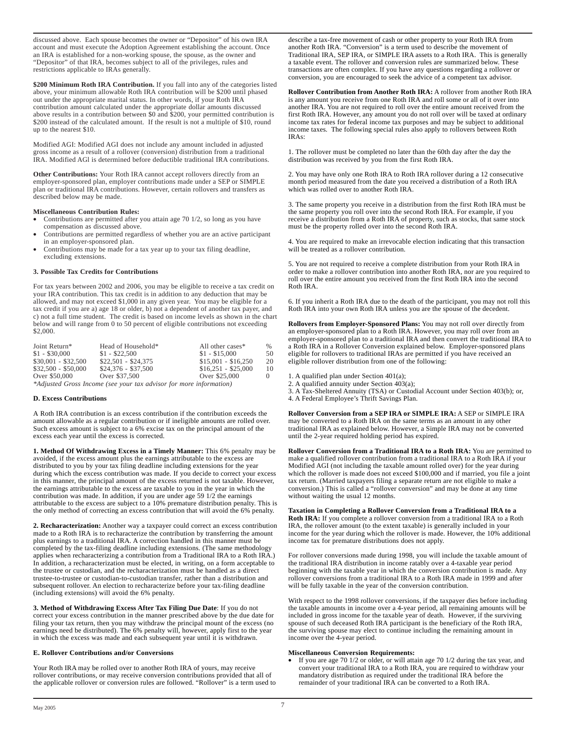discussed above. Each spouse becomes the owner or "Depositor" of his own IRA account and must execute the Adoption Agreement establishing the account. Once an IRA is established for a non-working spouse, the spouse, as the owner and "Depositor" of that IRA, becomes subject to all of the privileges, rules and restrictions applicable to IRAs generally.

**\$200 Minimum Roth IRA Contribution.** If you fall into any of the categories listed above, your minimum allowable Roth IRA contribution will be \$200 until phased out under the appropriate marital status. In other words, if your Roth IRA contribution amount calculated under the appropriate dollar amounts discussed above results in a contribution between  $\frac{6}{9}$  and  $\frac{6}{9}$  200, your permitted contribution is \$200 instead of the calculated amount. If the result is not a multiple of \$10, round up to the nearest \$10.

Modified AGI: Modified AGI does not include any amount included in adjusted gross income as a result of a rollover (conversion) distribution from a traditional IRA. Modified AGl is determined before deductible traditional IRA contributions.

**Other Contributions:** Your Roth IRA cannot accept rollovers directly from an employer-sponsored plan, employer contributions made under a SEP or SIMPLE plan or traditional IRA contributions. However, certain rollovers and transfers as described below may be made.

# **Miscellaneous Contribution Rules:**

- Contributions are permitted after you attain age 70 1/2, so long as you have compensation as discussed above.
- Contributions are permitted regardless of whether you are an active participant in an employer-sponsored plan.
- Contributions may be made for a tax year up to your tax filing deadline, excluding extensions.

## **3. Possible Tax Credits for Contributions**

For tax years between 2002 and 2006, you may be eligible to receive a tax credit on your IRA contribution. This tax credit is in addition to any deduction that may be allowed, and may not exceed \$1,000 in any given year. You may be eligible for a tax credit if you are a) age 18 or older, b) not a dependent of another tax payer, and c) not a full time student. The credit is based on income levels as shown in the chart below and will range from 0 to 50 percent of eligible contributions not exceeding \$2,000.

| Joint Return*                                                                 | Head of Household*  | All other cases*    | $\%$ |
|-------------------------------------------------------------------------------|---------------------|---------------------|------|
| $$1 - $30,000$                                                                | $$1 - $22,500$      | $$1 - $15,000$      | 50   |
| $$30.001 - $32.500$                                                           | $$22.501 - $24.375$ | $$15.001 - $16.250$ | 20   |
| $$32.500 - $50.000$                                                           | $$24.376 - $37.500$ | $$16.251 - $25.000$ | 10   |
| Over \$50,000                                                                 | Over \$37,500       | Over \$25,000       |      |
| $\mathbf{u}$ $\mathbf{v}$ $\mathbf{v}$ $\mathbf{v}$ $\mathbf{v}$ $\mathbf{v}$ |                     |                     |      |

*\*Adjusted Gross Income (see your tax advisor for more information)*

### **D. Excess Contributions**

A Roth IRA contribution is an excess contribution if the contribution exceeds the amount allowable as a regular contribution or if ineligible amounts are rolled over. Such excess amount is subject to a 6% excise tax on the principal amount of the excess each year until the excess is corrected.

**1. Method Of Withdrawing Excess in a Timely Manner:** This 6% penalty may be avoided, if the excess amount plus the earnings attributable to the excess are distributed to you by your tax filing deadline including extensions for the year during which the excess contribution was made. If you decide to correct your excess in this manner, the principal amount of the excess returned is not taxable. However, the earnings attributable to the excess are taxable to you in the year in which the contribution was made. In addition, if you are under age 59 1/2 the earnings attributable to the excess are subject to a 10% premature distribution penalty. This is the only method of correcting an excess contribution that will avoid the 6% penalty.

**2. Recharacterization:** Another way a taxpayer could correct an excess contribution made to a Roth IRA is to recharacterize the contribution by transferring the amount plus earnings to a traditional IRA. A correction handled in this manner must be completed by the tax-filing deadline including extensions. (The same methodology applies when recharacterizing a contribution from a Traditional IRA to a Roth IRA.) In addition, a recharacterization must be elected, in writing, on a form acceptable to the trustee or custodian, and the recharacterization must be handled as a direct trustee-to-trustee or custodian-to-custodian transfer, rather than a distribution and subsequent rollover. An election to recharacterize before your tax-filing deadline (including extensions) will avoid the 6% penalty.

**3. Method of Withdrawing Excess After Tax Filing Due Date**: If you do not correct your excess contribution in the manner prescribed above by the due date for filing your tax return, then you may withdraw the principal mount of the excess (no earnings need be distributed). The 6% penalty will, however, apply first to the year in which the excess was made and each subsequent year until it is withdrawn.

# **E. Rollover Contributions and/or Conversions**

Your Roth IRA may be rolled over to another Roth IRA of yours, may receive rollover contributions, or may receive conversion contributions provided that all of the applicable rollover or conversion rules are followed. "Rollover" is a term used to describe a tax-free movement of cash or other property to your Roth IRA from another Roth IRA. "Conversion" is a term used to describe the movement of Traditional IRA, SEP IRA, or SIMPLE IRA assets to a Roth IRA. This is generally a taxable event. The rollover and conversion rules are summarized below. These transactions are often complex. If you have any questions regarding a rollover or conversion, you are encouraged to seek the advice of a competent tax advisor.

**Rollover Contribution from Another Roth IRA:** A rollover from another Roth IRA is any amount you receive from one Roth IRA and roll some or all of it over into another IRA. You are not required to roll over the entire amount received from the first Roth IRA. However, any amount you do not roll over will be taxed at ordinary income tax rates for federal income tax purposes and may be subject to additional income taxes. The following special rules also apply to rollovers between Roth IRAs:

1. The rollover must be completed no later than the 60th day after the day the distribution was received by you from the first Roth IRA.

2. You may have only one Roth IRA to Roth IRA rollover during a 12 consecutive month period measured from the date you received a distribution of a Roth IRA which was rolled over to another Roth IRA.

3. The same property you receive in a distribution from the first Roth IRA must be the same property you roll over into the second Roth IRA. For example, if you receive a distribution from a Roth IRA of property, such as stocks, that same stock must be the property rolled over into the second Roth IRA.

4. You are required to make an irrevocable election indicating that this transaction will be treated as a rollover contribution.

5. You are not required to receive a complete distribution from your Roth IRA in order to make a rollover contribution into another Roth IRA, nor are you required to roll over the entire amount you received from the first Roth IRA into the second Roth IRA.

6. If you inherit a Roth IRA due to the death of the participant, you may not roll this Roth IRA into your own Roth IRA unless you are the spouse of the decedent.

**Rollovers from Employer-Sponsored Plans:** You may not roll over directly from an employer-sponsored plan to a Roth IRA. However, you may roll over from an employer-sponsored plan to a traditional IRA and then convert the traditional IRA to a Roth IRA in a Rollover Conversion explained below. Employer-sponsored plans eligible for rollovers to traditional IRAs are permitted if you have received an eligible rollover distribution from one of the following:

1. A qualified plan under Section 401(a);

2. A qualified annuity under Section 403(a);

3. A Tax-Sheltered Annuity (TSA) or Custodial Account under Section 403(b); or,

4. A Federal Employee's Thrift Savings Plan.

**Rollover Conversion from a SEP IRA or SIMPLE IRA:** A SEP or SIMPLE IRA may be converted to a Roth IRA on the same terms as an amount in any other traditional IRA as explained below. However, a Simple IRA may not be converted until the 2-year required holding period has expired.

**Rollover Conversion from a Traditional IRA to a Roth IRA:** You are permitted to make a qualified rollover contribution from a traditional IRA to a Roth IRA if your Modified AGI (not including the taxable amount rolled over) for the year during which the rollover is made does not exceed \$100,000 and if married, you file a joint tax return. (Married taxpayers filing a separate return are not eligible to make a conversion.) This is called a "rollover conversion" and may be done at any time without waiting the usual 12 months.

**Taxation in Completing a Rollover Conversion from a Traditional IRA to a Roth IRA:** If you complete a rollover conversion from a traditional IRA to a Roth IRA, the rollover amount (to the extent taxable) is generally included in your income for the year during which the rollover is made. However, the 10% additional income tax for premature distributions does not apply.

For rollover conversions made during 1998, you will include the taxable amount of the traditional IRA distribution in income ratably over a 4-taxable year period beginning with the taxable year in which the conversion contribution is made. Any rollover conversions from a traditional IRA to a Roth IRA made in 1999 and after will be fully taxable in the year of the conversion contribution.

With respect to the 1998 rollover conversions, if the taxpayer dies before including the taxable amounts in income over a 4-year period, all remaining amounts will be included in gross income for the taxable year of death. However, if the surviving spouse of such deceased Roth IRA participant is the beneficiary of the Roth IRA, the surviving spouse may elect to continue including the remaining amount in income over the 4-year period.

## **Miscellaneous Conversion Requirements:**

If you are age 70  $1/2$  or older, or will attain age 70  $1/2$  during the tax year, and convert your traditional IRA to a Roth IRA, you are required to withdraw your mandatory distribution as required under the traditional IRA before the remainder of your traditional IRA can be converted to a Roth IRA.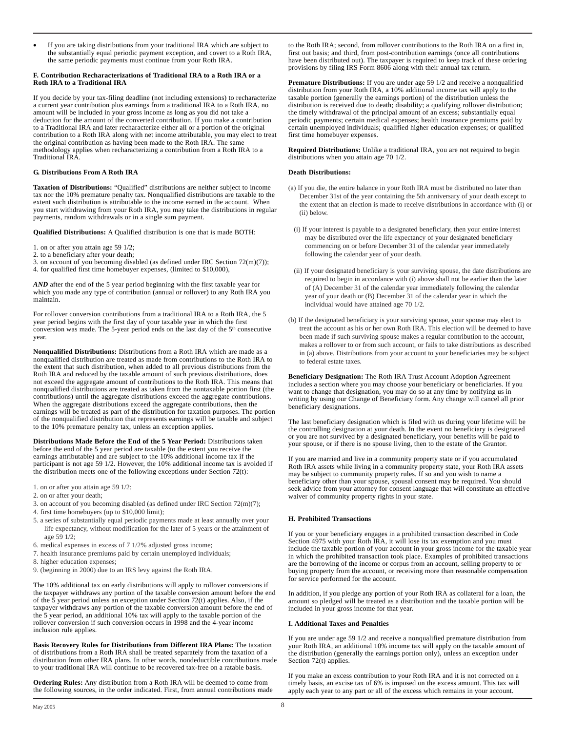If you are taking distributions from your traditional IRA which are subject to the substantially equal periodic payment exception, and covert to a Roth IRA, the same periodic payments must continue from your Roth IRA.

## **F. Contribution Recharacterizations of Traditional IRA to a Roth IRA or a Roth IRA to a Traditional IRA**

If you decide by your tax-filing deadline (not including extensions) to recharacterize a current year contribution plus earnings from a traditional IRA to a Roth IRA, no amount will be included in your gross income as long as you did not take a deduction for the amount of the converted contribution. If you make a contribution to a Traditional IRA and later recharacterize either all or a portion of the original contribution to a Roth IRA along with net income attributable, you may elect to treat the original contribution as having been made to the Roth IRA. The same methodology applies when recharacterizing a contribution from a Roth IRA to a Traditional IRA.

## **G. Distributions From A Roth IRA**

**Taxation of Distributions:** "Qualified" distributions are neither subject to income tax nor the 10% premature penalty tax. Nonqualified distributions are taxable to the extent such distribution is attributable to the income earned in the account. When you start withdrawing from your Roth IRA, you may take the distributions in regular payments, random withdrawals or in a single sum payment.

**Qualified Distributions:** A Qualified distribution is one that is made BOTH:

1. on or after you attain age 59 1/2;

- 2. to a beneficiary after your death;
- 3. on account of you becoming disabled (as defined under IRC Section 72(m)(7));

4. for qualified first time homebuyer expenses, (limited to \$10,000),

*AND* after the end of the 5 year period beginning with the first taxable year for which you made any type of contribution (annual or rollover) to any Roth IRA you maintain.

For rollover conversion contributions from a traditional IRA to a Roth IRA, the 5 year period begins with the first day of your taxable year in which the first conversion was made. The 5-year period ends on the last day of the 5<sup>th</sup> consecutive year.

**Nonqualified Distributions:** Distributions from a Roth IRA which are made as a nonqualified distribution are treated as made from contributions to the Roth IRA to the extent that such distribution, when added to all previous distributions from the Roth IRA and reduced by the taxable amount of such previous distributions, does not exceed the aggregate amount of contributions to the Roth IRA. This means that nonqualified distributions are treated as taken from the nontaxable portion first (the contributions) until the aggregate distributions exceed the aggregate contributions. When the aggregate distributions exceed the aggregate contributions, then the earnings will be treated as part of the distribution for taxation purposes. The portion of the nonqualified distribution that represents earnings will be taxable and subject to the 10% premature penalty tax, unless an exception applies.

**Distributions Made Before the End of the 5 Year Period:** Distributions taken before the end of the 5 year period are taxable (to the extent you receive the earnings attributable) and are subject to the 10% additional income tax if the participant is not age 59 1/2. However, the 10% additional income tax is avoided if the distribution meets one of the following exceptions under Section 72(t):

- 1. on or after you attain age 59 1/2;
- 2. on or after your death;
- 3. on account of you becoming disabled (as defined under IRC Section 72(m)(7);
- 4. first time homebuyers (up to \$10,000 limit);
- 5. a series of substantially equal periodic payments made at least annually over your life expectancy, without modification for the later of 5 years or the attainment of age 59 1/2;
- 6. medical expenses in excess of 7 1/2% adjusted gross income;
- 7. health insurance premiums paid by certain unemployed individuals;
- 8. higher education expenses;
- 9. (beginning in 2000) due to an IRS levy against the Roth IRA.

The 10% additional tax on early distributions will apply to rollover conversions if the taxpayer withdraws any portion of the taxable conversion amount before the end of the  $\bar{5}$  year period unless an exception under Section 72(t) applies. Also, if the taxpayer withdraws any portion of the taxable conversion amount before the end of the 5 year period, an additional 10% tax will apply to the taxable portion of the rollover conversion if such conversion occurs in 1998 and the 4-year income inclusion rule applies.

**Basis Recovery Rules for Distributions from Different IRA Plans:** The taxation of distributions from a Roth IRA shall be treated separately from the taxation of a distribution from other IRA plans. In other words, nondeductible contributions made to your traditional IRA will continue to be recovered tax-free on a ratable basis.

**Ordering Rules:** Any distribution from a Roth IRA will be deemed to come from the following sources, in the order indicated. First, from annual contributions made to the Roth IRA; second, from rollover contributions to the Roth IRA on a first in, first out basis; and third, from post-contribution earnings (once all contributions have been distributed out). The taxpayer is required to keep track of these ordering provisions by filing IRS Form 8606 along with their annual tax return.

**Premature Distributions:** If you are under age 59 1/2 and receive a nonqualified distribution from your Roth IRA, a 10% additional income tax will apply to the taxable portion (generally the earnings portion) of the distribution unless the distribution is received due to death; disability; a qualifying rollover distribution; the timely withdrawal of the principal amount of an excess; substantially equal periodic payments; certain medical expenses; health insurance premiums paid by certain unemployed individuals; qualified higher education expenses; or qualified first time homebuyer expenses.

**Required Distributions:** Unlike a traditional IRA, you are not required to begin distributions when you attain age 70 1/2.

#### **Death Distributions:**

- (a) If you die, the entire balance in your Roth IRA must be distributed no later than December 31st of the year containing the 5th anniversary of your death except to the extent that an election is made to receive distributions in accordance with (i) or (ii) below.
- (i) If your interest is payable to a designated beneficiary, then your entire interest may be distributed over the life expectancy of your designated beneficiary commencing on or before December 31 of the calendar year immediately following the calendar year of your death.
- (ii) If your designated beneficiary is your surviving spouse, the date distributions are required to begin in accordance with (i) above shall not be earlier than the later of (A) December 31 of the calendar year immediately following the calendar year of your death or (B) December 31 of the calendar year in which the individual would have attained age 70 1/2.
- (b) If the designated beneficiary is your surviving spouse, your spouse may elect to treat the account as his or her own Roth IRA. This election will be deemed to have been made if such surviving spouse makes a regular contribution to the account, makes a rollover to or from such account, or fails to take distributions as described in (a) above. Distributions from your account to your beneficiaries may be subject to federal estate taxes.

**Beneficiary Designation:** The Roth IRA Trust Account Adoption Agreement includes a section where you may choose your beneficiary or beneficiaries. If you want to change that designation, you may do so at any time by notifying us in writing by using our Change of Beneficiary form. Any change will cancel all prior beneficiary designations.

The last beneficiary designation which is filed with us during your lifetime will be the controlling designation at your death. In the event no beneficiary is designated or you are not survived by a designated beneficiary, your benefits will be paid to your spouse, or if there is no spouse living, then to the estate of the Grantor.

If you are married and live in a community property state or if you accumulated Roth IRA assets while living in a community property state, your Roth IRA assets may be subject to community property rules. If so and you wish to name a beneficiary other than your spouse, spousal consent may be required. You should seek advice from your attorney for consent language that will constitute an effective waiver of community property rights in your state.

# **H. Prohibited Transactions**

If you or your beneficiary engages in a prohibited transaction described in Code Section 4975 with your Roth IRA, it will lose its tax exemption and you must include the taxable portion of your account in your gross income for the taxable year in which the prohibited transaction took place. Examples of prohibited transactions are the borrowing of the income or corpus from an account, selling property to or buying property from the account, or receiving more than reasonable compensation for service performed for the account.

In addition, if you pledge any portion of your Roth IRA as collateral for a loan, the amount so pledged will be treated as a distribution and the taxable portion will be included in your gross income for that year.

## **I. Additional Taxes and Penalties**

If you are under age 59 1/2 and receive a nonqualified premature distribution from your Roth IRA, an additional 10% income tax will apply on the taxable amount of the distribution (generally the earnings portion only), unless an exception under Section 72(t) applies.

If you make an excess contribution to your Roth IRA and it is not corrected on a timely basis, an excise tax of 6% is imposed on the excess amount. This tax will apply each year to any part or all of the excess which remains in your account.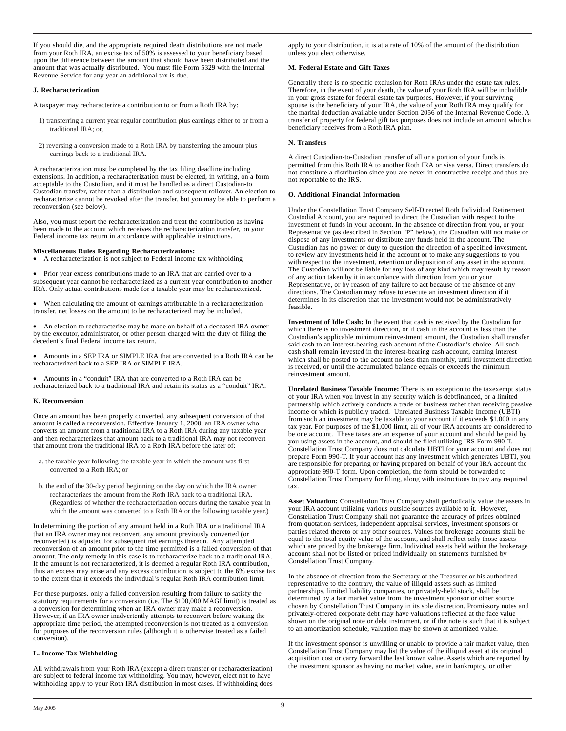If you should die, and the appropriate required death distributions are not made from your Roth IRA, an excise tax of 50% is assessed to your beneficiary based upon the difference between the amount that should have been distributed and the amount that was actually distributed. You must file Form 5329 with the Internal Revenue Service for any year an additional tax is due.

## **J. Recharacterization**

A taxpayer may recharacterize a contribution to or from a Roth IRA by:

- 1) transferring a current year regular contribution plus earnings either to or from a traditional IRA; or,
- 2) reversing a conversion made to a Roth IRA by transferring the amount plus earnings back to a traditional IRA.

A recharacterization must be completed by the tax filing deadline including extensions. In addition, a recharacterization must be elected, in writing, on a form acceptable to the Custodian, and it must be handled as a direct Custodian-to Custodian transfer, rather than a distribution and subsequent rollover. An election to recharacterize cannot be revoked after the transfer, but you may be able to perform a reconversion (see below).

Also, you must report the recharacterization and treat the contribution as having been made to the account which receives the recharacterization transfer, on your Federal income tax return in accordance with applicable instructions.

## **Miscellaneous Rules Regarding Recharacterizations:**

• A recharacterization is not subject to Federal income tax withholding

• Prior year excess contributions made to an IRA that are carried over to a subsequent year cannot be recharacterized as a current year contribution to another IRA. Only actual contributions made for a taxable year may be recharacterized.

• When calculating the amount of earnings attributable in a recharacterization transfer, net losses on the amount to be recharacterized may be included.

• An election to recharacterize may be made on behalf of a deceased IRA owner by the executor, administrator, or other person charged with the duty of filing the decedent's final Federal income tax return.

• Amounts in a SEP IRA or SIMPLE IRA that are converted to a Roth IRA can be recharacterized back to a SEP IRA or SIMPLE IRA.

• Amounts in a "conduit" IRA that are converted to a Roth IRA can be recharacterized back to a traditional IRA and retain its status as a "conduit" IRA.

## **K. Reconversion**

Once an amount has been properly converted, any subsequent conversion of that amount is called a reconversion. Effective January 1, 2000, an IRA owner who converts an amount from a traditional IRA to a Roth IRA during any taxable year and then recharacterizes that amount back to a traditional IRA may not reconvert that amount from the traditional IRA to a Roth IRA before the later of:

- a. the taxable year following the taxable year in which the amount was first converted to a Roth IRA; or
- b. the end of the 30-day period beginning on the day on which the IRA owner recharacterizes the amount from the Roth IRA back to a traditional IRA. (Regardless of whether the recharacterization occurs during the taxable year in which the amount was converted to a Roth IRA or the following taxable year.)

In determining the portion of any amount held in a Roth IRA or a traditional IRA that an IRA owner may not reconvert, any amount previously converted (or reconverted) is adjusted for subsequent net earnings thereon. Any attempted reconversion of an amount prior to the time permitted is a failed conversion of that amount. The only remedy in this case is to recharacterize back to a traditional IRA. If the amount is not recharacterized, it is deemed a regular Roth IRA contribution, thus an excess may arise and any excess contribution is subject to the 6% excise tax to the extent that it exceeds the individual's regular Roth IRA contribution limit.

For these purposes, only a failed conversion resulting from failure to satisfy the statutory requirements for a conversion (i.e. The \$100,000 MAGI limit) is treated as a conversion for determining when an IRA owner may make a reconversion. However, if an IRA owner inadvertently attempts to reconvert before waiting the appropriate time period, the attempted reconversion is not treated as a conversion for purposes of the reconversion rules (although it is otherwise treated as a failed conversion).

# **L. Income Tax Withholding**

All withdrawals from your Roth IRA (except a direct transfer or recharacterization) are subject to federal income tax withholding. You may, however, elect not to have withholding apply to your Roth IRA distribution in most cases. If withholding does

apply to your distribution, it is at a rate of 10% of the amount of the distribution unless you elect otherwise.

## **M. Federal Estate and Gift Taxes**

Generally there is no specific exclusion for Roth IRAs under the estate tax rules. Therefore, in the event of your death, the value of your Roth IRA will be includible in your gross estate for federal estate tax purposes. However, if your surviving spouse is the beneficiary of your IRA, the value of your Roth IRA may qualify for the marital deduction available under Section 2056 of the Internal Revenue Code. A transfer of property for federal gift tax purposes does not include an amount which a beneficiary receives from a Roth IRA plan.

## **N. Transfers**

A direct Custodian-to-Custodian transfer of all or a portion of your funds is permitted from this Roth IRA to another Roth IRA or visa versa. Direct transfers do not constitute a distribution since you are never in constructive receipt and thus are not reportable to the IRS.

## **O. Additional Financial Information**

Under the Constellation Trust Company Self-Directed Roth Individual Retirement Custodial Account, you are required to direct the Custodian with respect to the investment of funds in your account. In the absence of direction from you, or your Representative (as described in Section "P" below), the Custodian will not make or dispose of any investments or distribute any funds held in the account. The Custodian has no power or duty to question the direction of a specified investment, to review any investments held in the account or to make any suggestions to you with respect to the investment, retention or disposition of any asset in the account. The Custodian will not be liable for any loss of any kind which may result by reason of any action taken by it in accordance with direction from you or your Representative, or by reason of any failure to act because of the absence of any directions. The Custodian may refuse to execute an investment direction if it determines in its discretion that the investment would not be administratively feasible.

**Investment of Idle Cash:** In the event that cash is received by the Custodian for which there is no investment direction, or if cash in the account is less than the Custodian's applicable minimum reinvestment amount, the Custodian shall transfer said cash to an interest-bearing cash account of the Custodian's choice. All such cash shall remain invested in the interest-bearing cash account, earning interest which shall be posted to the account no less than monthly, until investment direction is received, or until the accumulated balance equals or exceeds the minimum reinvestment amount.

**Unrelated Business Taxable Income:** There is an exception to the taxexempt status of your IRA when you invest in any security which is debtfinanced, or a limited partnership which actively conducts a trade or business rather than receiving passive income or which is publicly traded. Unrelated Business Taxable Income (UBTI) from such an investment may be taxable to your account if it exceeds \$1,000 in any tax year. For purposes of the \$1,000 limit, all of your IRA accounts are considered to be one account. These taxes are an expense of your account and should be paid by you using assets in the account, and should be filed utilizing IRS Form 990-T. Constellation Trust Company does not calculate UBTI for your account and does not prepare Form 990-T. If your account has any investment which generates UBTI, you are responsible for preparing or having prepared on behalf of your IRA account the appropriate 990-T form. Upon completion, the form should be forwarded to Constellation Trust Company for filing, along with instructions to pay any required tax.

**Asset Valuation:** Constellation Trust Company shall periodically value the assets in your IRA account utilizing various outside sources available to it. However, Constellation Trust Company shall not guarantee the accuracy of prices obtained from quotation services, independent appraisal services, investment sponsors or parties related thereto or any other sources. Values for brokerage accounts shall be equal to the total equity value of the account, and shall reflect only those assets which are priced by the brokerage firm. Individual assets held within the brokerage account shall not be listed or priced individually on statements furnished by Constellation Trust Company.

In the absence of direction from the Secretary of the Treasurer or his authorized representative to the contrary, the value of illiquid assets such as limited partnerships, limited liability companies, or privately-held stock, shall be determined by a fair market value from the investment sponsor or other source chosen by Constellation Trust Company in its sole discretion. Promissory notes and privately-offered corporate debt may have valuations reflected at the face value shown on the original note or debt instrument, or if the note is such that it is subject to an amortization schedule, valuation may be shown at amortized value.

If the investment sponsor is unwilling or unable to provide a fair market value, then Constellation Trust Company may list the value of the illiquid asset at its original acquisition cost or carry forward the last known value. Assets which are reported by the investment sponsor as having no market value, are in bankruptcy, or other